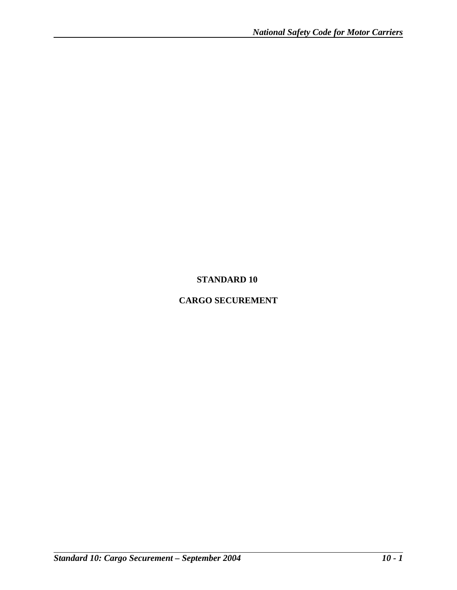# **STANDARD 10**

# **CARGO SECUREMENT**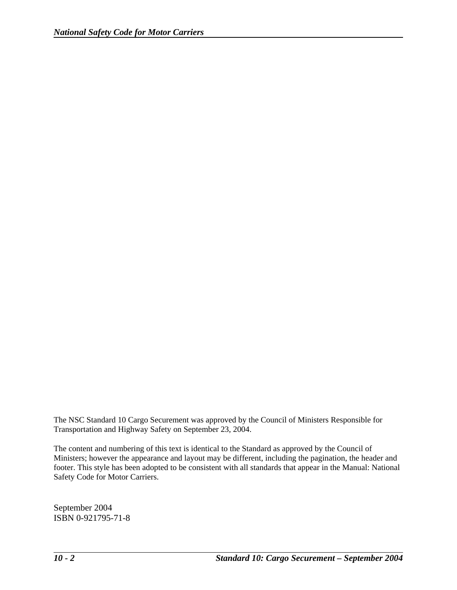The NSC Standard 10 Cargo Securement was approved by the Council of Ministers Responsible for Transportation and Highway Safety on September 23, 2004.

The content and numbering of this text is identical to the Standard as approved by the Council of Ministers; however the appearance and layout may be different, including the pagination, the header and footer. This style has been adopted to be consistent with all standards that appear in the Manual: National Safety Code for Motor Carriers.

September 2004 ISBN 0-921795-71-8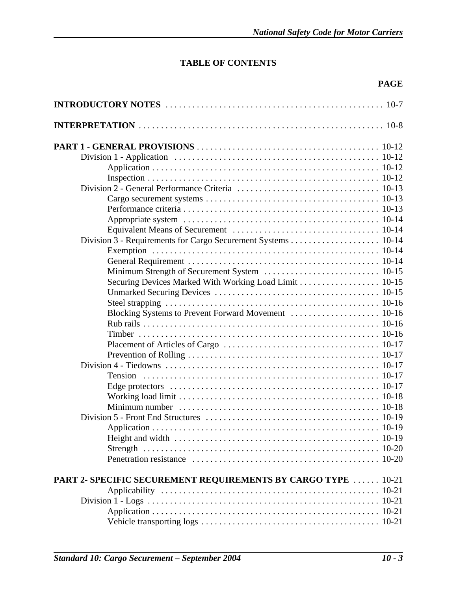# **TABLE OF CONTENTS**

# **PAGE**

| Division 3 - Requirements for Cargo Securement Systems 10-14  |  |
|---------------------------------------------------------------|--|
|                                                               |  |
|                                                               |  |
|                                                               |  |
| Securing Devices Marked With Working Load Limit 10-15         |  |
|                                                               |  |
|                                                               |  |
|                                                               |  |
|                                                               |  |
|                                                               |  |
|                                                               |  |
|                                                               |  |
|                                                               |  |
|                                                               |  |
|                                                               |  |
|                                                               |  |
|                                                               |  |
|                                                               |  |
|                                                               |  |
|                                                               |  |
|                                                               |  |
|                                                               |  |
| PART 2- SPECIFIC SECUREMENT REQUIREMENTS BY CARGO TYPE  10-21 |  |
|                                                               |  |
|                                                               |  |
|                                                               |  |
|                                                               |  |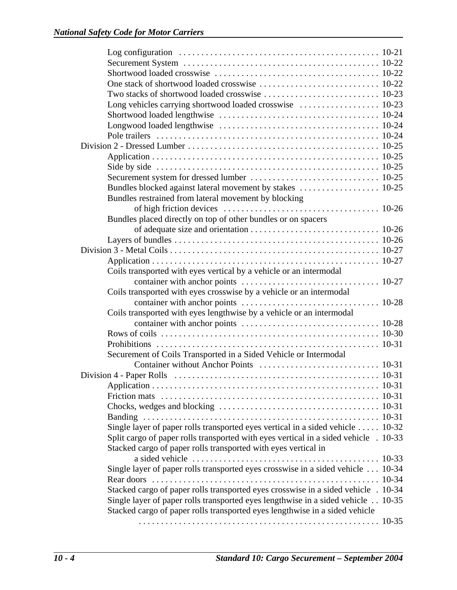| Bundles restrained from lateral movement by blocking                                 |  |
|--------------------------------------------------------------------------------------|--|
|                                                                                      |  |
| Bundles placed directly on top of other bundles or on spacers                        |  |
|                                                                                      |  |
|                                                                                      |  |
|                                                                                      |  |
|                                                                                      |  |
| Coils transported with eyes vertical by a vehicle or an intermodal                   |  |
|                                                                                      |  |
| Coils transported with eyes crosswise by a vehicle or an intermodal                  |  |
|                                                                                      |  |
| Coils transported with eyes lengthwise by a vehicle or an intermodal                 |  |
|                                                                                      |  |
|                                                                                      |  |
|                                                                                      |  |
| Securement of Coils Transported in a Sided Vehicle or Intermodal                     |  |
|                                                                                      |  |
|                                                                                      |  |
|                                                                                      |  |
|                                                                                      |  |
|                                                                                      |  |
|                                                                                      |  |
|                                                                                      |  |
| Single layer of paper rolls transported eyes vertical in a sided vehicle 10-32       |  |
| Split cargo of paper rolls transported with eyes vertical in a sided vehicle . 10-33 |  |
| Stacked cargo of paper rolls transported with eyes vertical in                       |  |
|                                                                                      |  |
| Single layer of paper rolls transported eyes crosswise in a sided vehicle  10-34     |  |
|                                                                                      |  |
| Stacked cargo of paper rolls transported eyes crosswise in a sided vehicle . 10-34   |  |
| Single layer of paper rolls transported eyes lengthwise in a sided vehicle . 10-35   |  |
| Stacked cargo of paper rolls transported eyes lengthwise in a sided vehicle          |  |
|                                                                                      |  |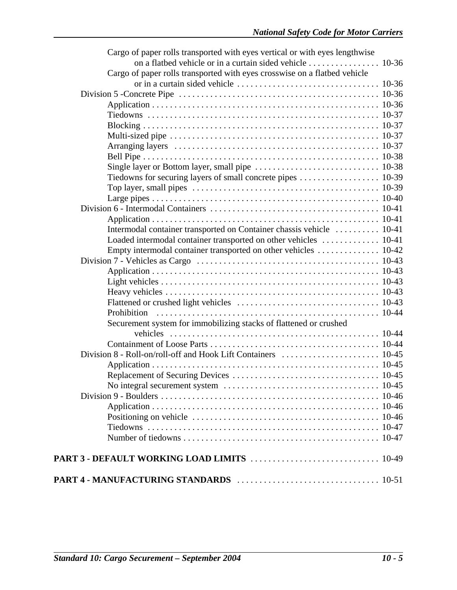| Cargo of paper rolls transported with eyes vertical or with eyes lengthwise |  |
|-----------------------------------------------------------------------------|--|
| on a flatbed vehicle or in a curtain sided vehicle 10-36                    |  |
| Cargo of paper rolls transported with eyes crosswise on a flatbed vehicle   |  |
|                                                                             |  |
|                                                                             |  |
|                                                                             |  |
|                                                                             |  |
|                                                                             |  |
|                                                                             |  |
|                                                                             |  |
|                                                                             |  |
|                                                                             |  |
|                                                                             |  |
|                                                                             |  |
|                                                                             |  |
|                                                                             |  |
|                                                                             |  |
| Intermodal container transported on Container chassis vehicle  10-41        |  |
| Loaded intermodal container transported on other vehicles  10-41            |  |
|                                                                             |  |
|                                                                             |  |
|                                                                             |  |
|                                                                             |  |
|                                                                             |  |
|                                                                             |  |
| Prohibition                                                                 |  |
| Securement system for immobilizing stacks of flattened or crushed           |  |
|                                                                             |  |
|                                                                             |  |
|                                                                             |  |
|                                                                             |  |
|                                                                             |  |
|                                                                             |  |
|                                                                             |  |
|                                                                             |  |
|                                                                             |  |
|                                                                             |  |
|                                                                             |  |
|                                                                             |  |
|                                                                             |  |
|                                                                             |  |
|                                                                             |  |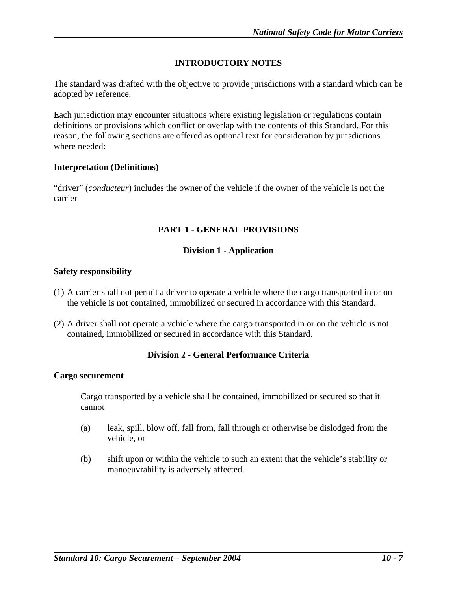# **INTRODUCTORY NOTES**

The standard was drafted with the objective to provide jurisdictions with a standard which can be adopted by reference.

Each jurisdiction may encounter situations where existing legislation or regulations contain definitions or provisions which conflict or overlap with the contents of this Standard. For this reason, the following sections are offered as optional text for consideration by jurisdictions where needed:

## **Interpretation (Definitions)**

"driver" (*conducteur*) includes the owner of the vehicle if the owner of the vehicle is not the carrier

# **PART 1 - GENERAL PROVISIONS**

## **Division 1 - Application**

### **Safety responsibility**

- (1) A carrier shall not permit a driver to operate a vehicle where the cargo transported in or on the vehicle is not contained, immobilized or secured in accordance with this Standard.
- (2) A driver shall not operate a vehicle where the cargo transported in or on the vehicle is not contained, immobilized or secured in accordance with this Standard.

## **Division 2 - General Performance Criteria**

#### **Cargo securement**

Cargo transported by a vehicle shall be contained, immobilized or secured so that it cannot

- (a) leak, spill, blow off, fall from, fall through or otherwise be dislodged from the vehicle, or
- (b) shift upon or within the vehicle to such an extent that the vehicle's stability or manoeuvrability is adversely affected.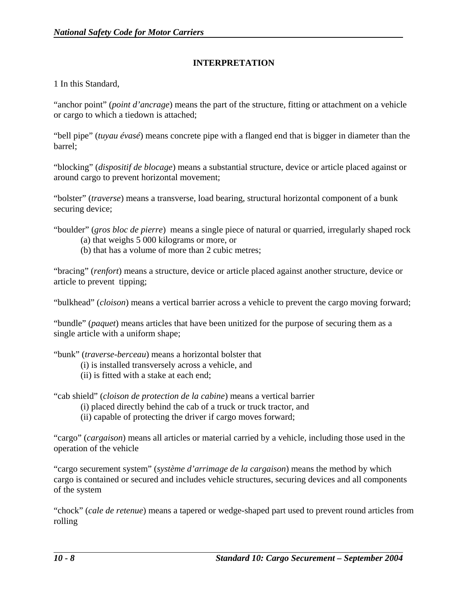## **INTERPRETATION**

1 In this Standard,

"anchor point" (*point d'ancrage*) means the part of the structure, fitting or attachment on a vehicle or cargo to which a tiedown is attached;

"bell pipe" (*tuyau évasé*) means concrete pipe with a flanged end that is bigger in diameter than the barrel;

"blocking" (*dispositif de blocage*) means a substantial structure, device or article placed against or around cargo to prevent horizontal movement;

"bolster" (*traverse*) means a transverse, load bearing, structural horizontal component of a bunk securing device;

"boulder" (*gros bloc de pierre*) means a single piece of natural or quarried, irregularly shaped rock

- (a) that weighs 5 000 kilograms or more, or
- (b) that has a volume of more than 2 cubic metres;

"bracing" (*renfort*) means a structure, device or article placed against another structure, device or article to prevent tipping;

"bulkhead" (*cloison*) means a vertical barrier across a vehicle to prevent the cargo moving forward;

"bundle" (*paquet*) means articles that have been unitized for the purpose of securing them as a single article with a uniform shape;

"bunk" (*traverse-berceau*) means a horizontal bolster that

- (i) is installed transversely across a vehicle, and
- (ii) is fitted with a stake at each end;

"cab shield" (*cloison de protection de la cabine*) means a vertical barrier

- (i) placed directly behind the cab of a truck or truck tractor, and
- (ii) capable of protecting the driver if cargo moves forward;

"cargo" (*cargaison*) means all articles or material carried by a vehicle, including those used in the operation of the vehicle

"cargo securement system" (*système d'arrimage de la cargaison*) means the method by which cargo is contained or secured and includes vehicle structures, securing devices and all components of the system

"chock" (*cale de retenue*) means a tapered or wedge-shaped part used to prevent round articles from rolling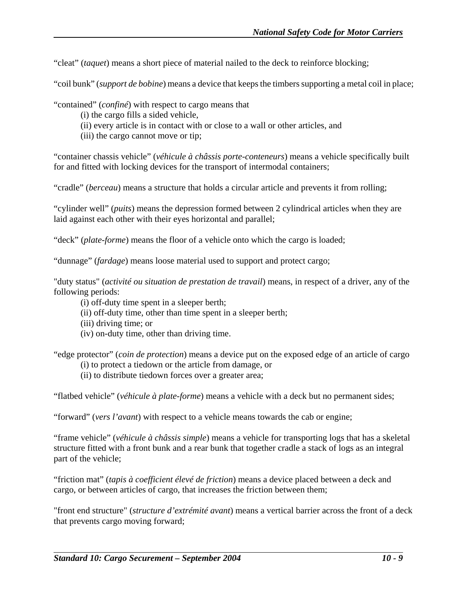"cleat" (*taquet*) means a short piece of material nailed to the deck to reinforce blocking;

"coil bunk" (*support de bobine*) means a device that keeps the timbers supporting a metal coil in place;

"contained" (*confiné*) with respect to cargo means that

- (i) the cargo fills a sided vehicle,
- (ii) every article is in contact with or close to a wall or other articles, and
- (iii) the cargo cannot move or tip;

"container chassis vehicle" (*véhicule à châssis porte-conteneurs*) means a vehicle specifically built for and fitted with locking devices for the transport of intermodal containers;

"cradle" (*berceau*) means a structure that holds a circular article and prevents it from rolling;

"cylinder well" (*puits*) means the depression formed between 2 cylindrical articles when they are laid against each other with their eyes horizontal and parallel;

"deck" (*plate-forme*) means the floor of a vehicle onto which the cargo is loaded;

"dunnage" (*fardage*) means loose material used to support and protect cargo;

"duty status" (*activité ou situation de prestation de travail*) means, in respect of a driver, any of the following periods:

- (i) off-duty time spent in a sleeper berth;
- (ii) off-duty time, other than time spent in a sleeper berth;
- (iii) driving time; or
- (iv) on-duty time, other than driving time.

"edge protector" (*coin de protection*) means a device put on the exposed edge of an article of cargo (i) to protect a tiedown or the article from damage, or

(ii) to distribute tiedown forces over a greater area;

"flatbed vehicle" (*véhicule à plate-forme*) means a vehicle with a deck but no permanent sides;

"forward" (*vers l'avant*) with respect to a vehicle means towards the cab or engine;

"frame vehicle" (*véhicule à châssis simple*) means a vehicle for transporting logs that has a skeletal structure fitted with a front bunk and a rear bunk that together cradle a stack of logs as an integral part of the vehicle;

"friction mat" (*tapis à coefficient élevé de friction*) means a device placed between a deck and cargo, or between articles of cargo, that increases the friction between them;

"front end structure" (*structure d'extrémité avant*) means a vertical barrier across the front of a deck that prevents cargo moving forward;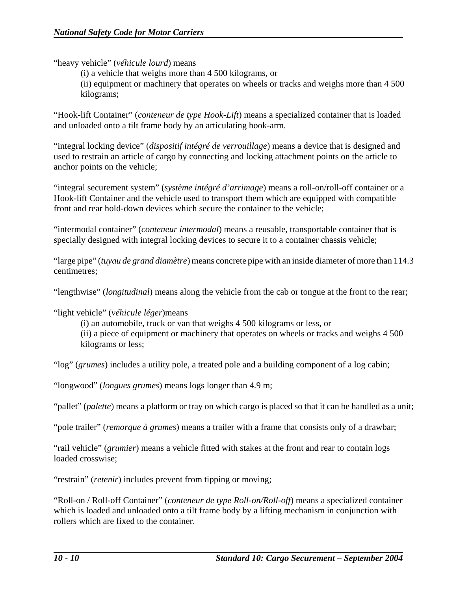"heavy vehicle" (*véhicule lourd*) means

(i) a vehicle that weighs more than 4 500 kilograms, or

(ii) equipment or machinery that operates on wheels or tracks and weighs more than 4 500 kilograms;

"Hook-lift Container" (*conteneur de type Hook-Lift*) means a specialized container that is loaded and unloaded onto a tilt frame body by an articulating hook-arm.

"integral locking device" (*dispositif intégré de verrouillage*) means a device that is designed and used to restrain an article of cargo by connecting and locking attachment points on the article to anchor points on the vehicle;

"integral securement system" (*système intégré d'arrimage*) means a roll-on/roll-off container or a Hook-lift Container and the vehicle used to transport them which are equipped with compatible front and rear hold-down devices which secure the container to the vehicle;

"intermodal container" (*conteneur intermodal*) means a reusable, transportable container that is specially designed with integral locking devices to secure it to a container chassis vehicle;

"large pipe" (*tuyau de grand diamètre*) means concrete pipe with an inside diameter of more than 114.3 centimetres;

"lengthwise" (*longitudinal*) means along the vehicle from the cab or tongue at the front to the rear;

"light vehicle" (*véhicule léger*)means

(i) an automobile, truck or van that weighs 4 500 kilograms or less, or

(ii) a piece of equipment or machinery that operates on wheels or tracks and weighs 4 500 kilograms or less;

"log" (*grumes*) includes a utility pole, a treated pole and a building component of a log cabin;

"longwood" (*longues grumes*) means logs longer than 4.9 m;

"pallet" (*palette*) means a platform or tray on which cargo is placed so that it can be handled as a unit;

"pole trailer" (*remorque à grumes*) means a trailer with a frame that consists only of a drawbar;

"rail vehicle" (*grumier*) means a vehicle fitted with stakes at the front and rear to contain logs loaded crosswise;

"restrain" (*retenir*) includes prevent from tipping or moving;

"Roll-on / Roll-off Container" (*conteneur de type Roll-on/Roll-off*) means a specialized container which is loaded and unloaded onto a tilt frame body by a lifting mechanism in conjunction with rollers which are fixed to the container.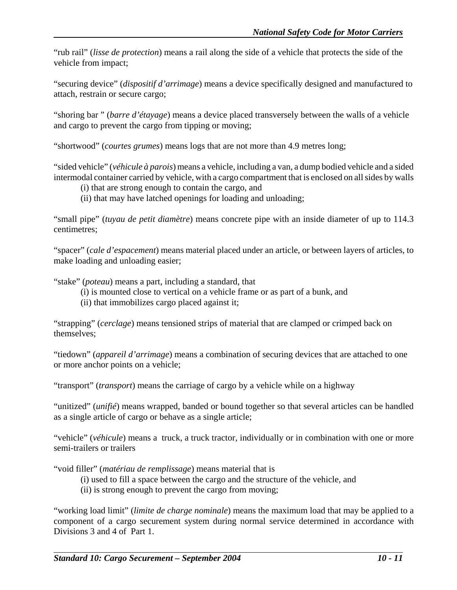"rub rail" (*lisse de protection*) means a rail along the side of a vehicle that protects the side of the vehicle from impact;

"securing device" (*dispositif d'arrimage*) means a device specifically designed and manufactured to attach, restrain or secure cargo;

"shoring bar " (*barre d'étayage*) means a device placed transversely between the walls of a vehicle and cargo to prevent the cargo from tipping or moving;

"shortwood" (*courtes grumes*) means logs that are not more than 4.9 metres long;

"sided vehicle" (*véhicule à parois*) means a vehicle, including a van, a dump bodied vehicle and a sided intermodal container carried by vehicle, with a cargo compartment that is enclosed on all sides by walls

- (i) that are strong enough to contain the cargo, and
- (ii) that may have latched openings for loading and unloading;

"small pipe" (*tuyau de petit diamètre*) means concrete pipe with an inside diameter of up to 114.3 centimetres;

"spacer" (*cale d'espacement*) means material placed under an article, or between layers of articles, to make loading and unloading easier;

"stake" (*poteau*) means a part, including a standard, that

- (i) is mounted close to vertical on a vehicle frame or as part of a bunk, and
- (ii) that immobilizes cargo placed against it;

"strapping" (*cerclage*) means tensioned strips of material that are clamped or crimped back on themselves;

"tiedown" (*appareil d'arrimage*) means a combination of securing devices that are attached to one or more anchor points on a vehicle;

"transport" (*transport*) means the carriage of cargo by a vehicle while on a highway

"unitized" (*unifié*) means wrapped, banded or bound together so that several articles can be handled as a single article of cargo or behave as a single article;

"vehicle" (*véhicule*) means a truck, a truck tractor, individually or in combination with one or more semi-trailers or trailers

"void filler" (*matériau de remplissage*) means material that is

- (i) used to fill a space between the cargo and the structure of the vehicle, and
- (ii) is strong enough to prevent the cargo from moving;

"working load limit" (*limite de charge nominale*) means the maximum load that may be applied to a component of a cargo securement system during normal service determined in accordance with Divisions 3 and 4 of Part 1.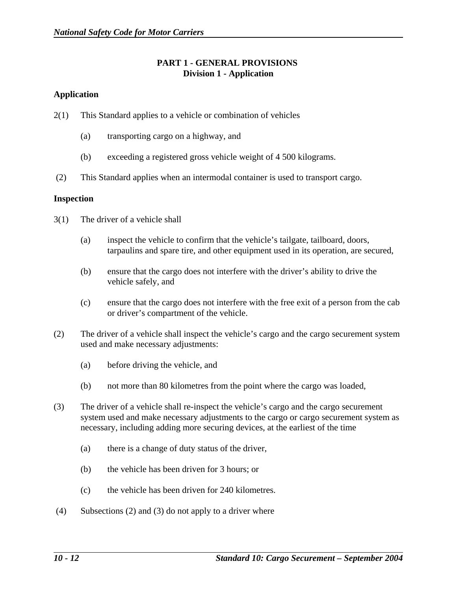## **PART 1 - GENERAL PROVISIONS Division 1 - Application**

#### **Application**

- 2(1) This Standard applies to a vehicle or combination of vehicles
	- (a) transporting cargo on a highway, and
	- (b) exceeding a registered gross vehicle weight of 4 500 kilograms.
- (2) This Standard applies when an intermodal container is used to transport cargo.

#### **Inspection**

- 3(1) The driver of a vehicle shall
	- (a) inspect the vehicle to confirm that the vehicle's tailgate, tailboard, doors, tarpaulins and spare tire, and other equipment used in its operation, are secured,
	- (b) ensure that the cargo does not interfere with the driver's ability to drive the vehicle safely, and
	- (c) ensure that the cargo does not interfere with the free exit of a person from the cab or driver's compartment of the vehicle.
- (2) The driver of a vehicle shall inspect the vehicle's cargo and the cargo securement system used and make necessary adjustments:
	- (a) before driving the vehicle, and
	- (b) not more than 80 kilometres from the point where the cargo was loaded,
- (3) The driver of a vehicle shall re-inspect the vehicle's cargo and the cargo securement system used and make necessary adjustments to the cargo or cargo securement system as necessary, including adding more securing devices, at the earliest of the time
	- (a) there is a change of duty status of the driver,
	- (b) the vehicle has been driven for 3 hours; or
	- (c) the vehicle has been driven for 240 kilometres.
- (4) Subsections (2) and (3) do not apply to a driver where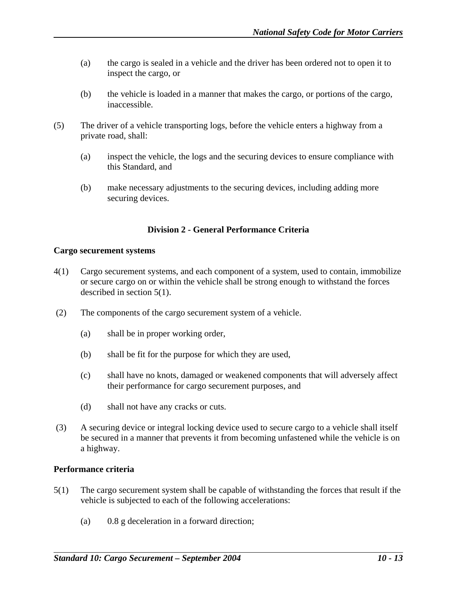- (a) the cargo is sealed in a vehicle and the driver has been ordered not to open it to inspect the cargo, or
- (b) the vehicle is loaded in a manner that makes the cargo, or portions of the cargo, inaccessible.
- (5) The driver of a vehicle transporting logs, before the vehicle enters a highway from a private road, shall:
	- (a) inspect the vehicle, the logs and the securing devices to ensure compliance with this Standard, and
	- (b) make necessary adjustments to the securing devices, including adding more securing devices.

## **Division 2 - General Performance Criteria**

#### **Cargo securement systems**

- 4(1) Cargo securement systems, and each component of a system, used to contain, immobilize or secure cargo on or within the vehicle shall be strong enough to withstand the forces described in section 5(1).
- (2) The components of the cargo securement system of a vehicle.
	- (a) shall be in proper working order,
	- (b) shall be fit for the purpose for which they are used,
	- (c) shall have no knots, damaged or weakened components that will adversely affect their performance for cargo securement purposes, and
	- (d) shall not have any cracks or cuts.
- (3) A securing device or integral locking device used to secure cargo to a vehicle shall itself be secured in a manner that prevents it from becoming unfastened while the vehicle is on a highway.

#### **Performance criteria**

- 5(1) The cargo securement system shall be capable of withstanding the forces that result if the vehicle is subjected to each of the following accelerations:
	- (a) 0.8 g deceleration in a forward direction;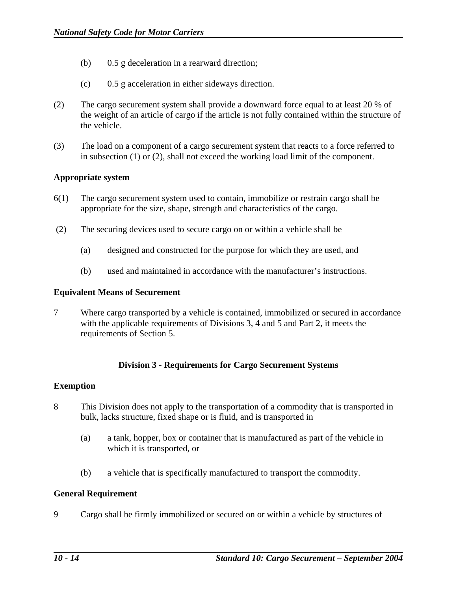- (b) 0.5 g deceleration in a rearward direction;
- (c) 0.5 g acceleration in either sideways direction.
- (2) The cargo securement system shall provide a downward force equal to at least 20 % of the weight of an article of cargo if the article is not fully contained within the structure of the vehicle.
- (3) The load on a component of a cargo securement system that reacts to a force referred to in subsection (1) or (2), shall not exceed the working load limit of the component.

#### **Appropriate system**

- 6(1) The cargo securement system used to contain, immobilize or restrain cargo shall be appropriate for the size, shape, strength and characteristics of the cargo.
- (2) The securing devices used to secure cargo on or within a vehicle shall be
	- (a) designed and constructed for the purpose for which they are used, and
	- (b) used and maintained in accordance with the manufacturer's instructions.

#### **Equivalent Means of Securement**

7 Where cargo transported by a vehicle is contained, immobilized or secured in accordance with the applicable requirements of Divisions 3, 4 and 5 and Part 2, it meets the requirements of Section 5.

#### **Division 3 - Requirements for Cargo Securement Systems**

#### **Exemption**

- 8 This Division does not apply to the transportation of a commodity that is transported in bulk, lacks structure, fixed shape or is fluid, and is transported in
	- (a) a tank, hopper, box or container that is manufactured as part of the vehicle in which it is transported, or
	- (b) a vehicle that is specifically manufactured to transport the commodity.

#### **General Requirement**

9 Cargo shall be firmly immobilized or secured on or within a vehicle by structures of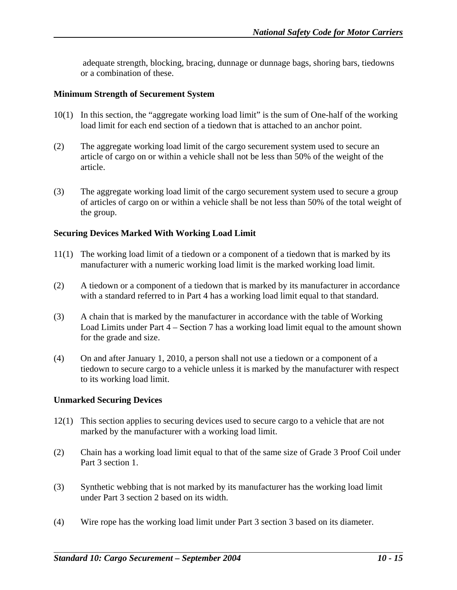adequate strength, blocking, bracing, dunnage or dunnage bags, shoring bars, tiedowns or a combination of these.

### **Minimum Strength of Securement System**

- 10(1) In this section, the "aggregate working load limit" is the sum of One-half of the working load limit for each end section of a tiedown that is attached to an anchor point.
- (2) The aggregate working load limit of the cargo securement system used to secure an article of cargo on or within a vehicle shall not be less than 50% of the weight of the article.
- (3) The aggregate working load limit of the cargo securement system used to secure a group of articles of cargo on or within a vehicle shall be not less than 50% of the total weight of the group.

### **Securing Devices Marked With Working Load Limit**

- 11(1) The working load limit of a tiedown or a component of a tiedown that is marked by its manufacturer with a numeric working load limit is the marked working load limit.
- (2) A tiedown or a component of a tiedown that is marked by its manufacturer in accordance with a standard referred to in Part 4 has a working load limit equal to that standard.
- (3) A chain that is marked by the manufacturer in accordance with the table of Working Load Limits under Part 4 – Section 7 has a working load limit equal to the amount shown for the grade and size.
- (4) On and after January 1, 2010, a person shall not use a tiedown or a component of a tiedown to secure cargo to a vehicle unless it is marked by the manufacturer with respect to its working load limit.

#### **Unmarked Securing Devices**

- 12(1) This section applies to securing devices used to secure cargo to a vehicle that are not marked by the manufacturer with a working load limit.
- (2) Chain has a working load limit equal to that of the same size of Grade 3 Proof Coil under Part 3 section 1.
- (3) Synthetic webbing that is not marked by its manufacturer has the working load limit under Part 3 section 2 based on its width.
- (4) Wire rope has the working load limit under Part 3 section 3 based on its diameter.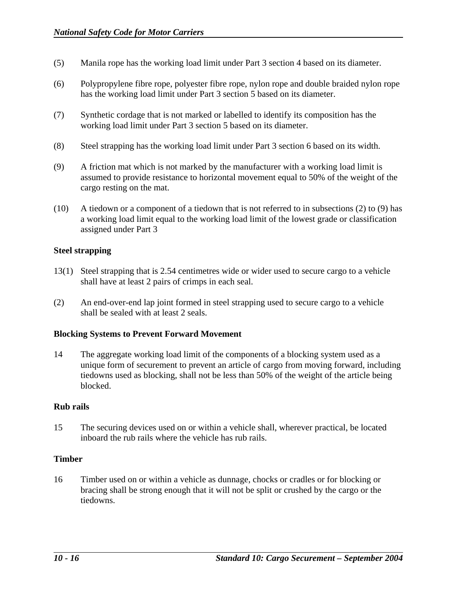- (5) Manila rope has the working load limit under Part 3 section 4 based on its diameter.
- (6) Polypropylene fibre rope, polyester fibre rope, nylon rope and double braided nylon rope has the working load limit under Part 3 section 5 based on its diameter.
- (7) Synthetic cordage that is not marked or labelled to identify its composition has the working load limit under Part 3 section 5 based on its diameter.
- (8) Steel strapping has the working load limit under Part 3 section 6 based on its width.
- (9) A friction mat which is not marked by the manufacturer with a working load limit is assumed to provide resistance to horizontal movement equal to 50% of the weight of the cargo resting on the mat.
- (10) A tiedown or a component of a tiedown that is not referred to in subsections (2) to (9) has a working load limit equal to the working load limit of the lowest grade or classification assigned under Part 3

### **Steel strapping**

- 13(1) Steel strapping that is 2.54 centimetres wide or wider used to secure cargo to a vehicle shall have at least 2 pairs of crimps in each seal.
- (2) An end-over-end lap joint formed in steel strapping used to secure cargo to a vehicle shall be sealed with at least 2 seals.

#### **Blocking Systems to Prevent Forward Movement**

14 The aggregate working load limit of the components of a blocking system used as a unique form of securement to prevent an article of cargo from moving forward, including tiedowns used as blocking, shall not be less than 50% of the weight of the article being blocked.

#### **Rub rails**

15 The securing devices used on or within a vehicle shall, wherever practical, be located inboard the rub rails where the vehicle has rub rails.

#### **Timber**

16 Timber used on or within a vehicle as dunnage, chocks or cradles or for blocking or bracing shall be strong enough that it will not be split or crushed by the cargo or the tiedowns.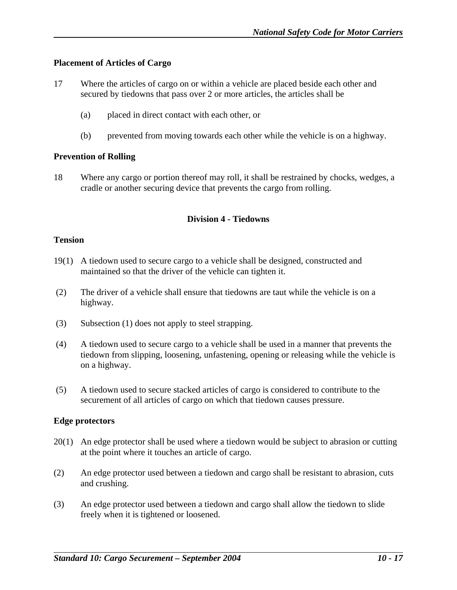## **Placement of Articles of Cargo**

- 17 Where the articles of cargo on or within a vehicle are placed beside each other and secured by tiedowns that pass over 2 or more articles, the articles shall be
	- (a) placed in direct contact with each other, or
	- (b) prevented from moving towards each other while the vehicle is on a highway.

### **Prevention of Rolling**

18 Where any cargo or portion thereof may roll, it shall be restrained by chocks, wedges, a cradle or another securing device that prevents the cargo from rolling.

## **Division 4 - Tiedowns**

### **Tension**

- 19(1) A tiedown used to secure cargo to a vehicle shall be designed, constructed and maintained so that the driver of the vehicle can tighten it.
- (2) The driver of a vehicle shall ensure that tiedowns are taut while the vehicle is on a highway.
- (3) Subsection (1) does not apply to steel strapping.
- (4) A tiedown used to secure cargo to a vehicle shall be used in a manner that prevents the tiedown from slipping, loosening, unfastening, opening or releasing while the vehicle is on a highway.
- (5) A tiedown used to secure stacked articles of cargo is considered to contribute to the securement of all articles of cargo on which that tiedown causes pressure.

## **Edge protectors**

- 20(1) An edge protector shall be used where a tiedown would be subject to abrasion or cutting at the point where it touches an article of cargo.
- (2) An edge protector used between a tiedown and cargo shall be resistant to abrasion, cuts and crushing.
- (3) An edge protector used between a tiedown and cargo shall allow the tiedown to slide freely when it is tightened or loosened.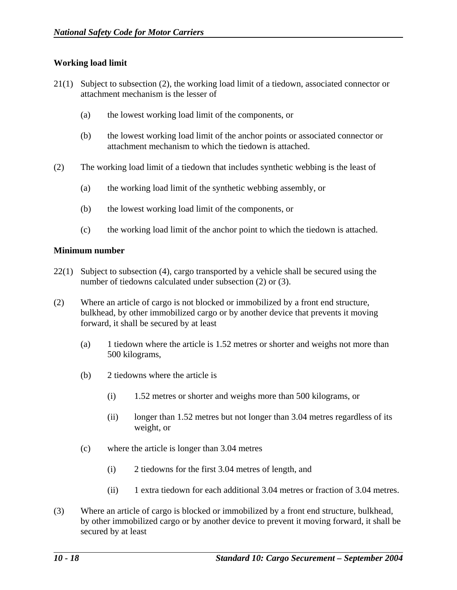## **Working load limit**

- 21(1) Subject to subsection (2), the working load limit of a tiedown, associated connector or attachment mechanism is the lesser of
	- (a) the lowest working load limit of the components, or
	- (b) the lowest working load limit of the anchor points or associated connector or attachment mechanism to which the tiedown is attached.
- (2) The working load limit of a tiedown that includes synthetic webbing is the least of
	- (a) the working load limit of the synthetic webbing assembly, or
	- (b) the lowest working load limit of the components, or
	- (c) the working load limit of the anchor point to which the tiedown is attached.

#### **Minimum number**

- 22(1) Subject to subsection (4), cargo transported by a vehicle shall be secured using the number of tiedowns calculated under subsection (2) or (3).
- (2) Where an article of cargo is not blocked or immobilized by a front end structure, bulkhead, by other immobilized cargo or by another device that prevents it moving forward, it shall be secured by at least
	- (a) 1 tiedown where the article is 1.52 metres or shorter and weighs not more than 500 kilograms,
	- (b) 2 tiedowns where the article is
		- (i) 1.52 metres or shorter and weighs more than 500 kilograms, or
		- (ii) longer than 1.52 metres but not longer than 3.04 metres regardless of its weight, or
	- (c) where the article is longer than 3.04 metres
		- (i) 2 tiedowns for the first 3.04 metres of length, and
		- (ii) 1 extra tiedown for each additional 3.04 metres or fraction of 3.04 metres.
- (3) Where an article of cargo is blocked or immobilized by a front end structure, bulkhead, by other immobilized cargo or by another device to prevent it moving forward, it shall be secured by at least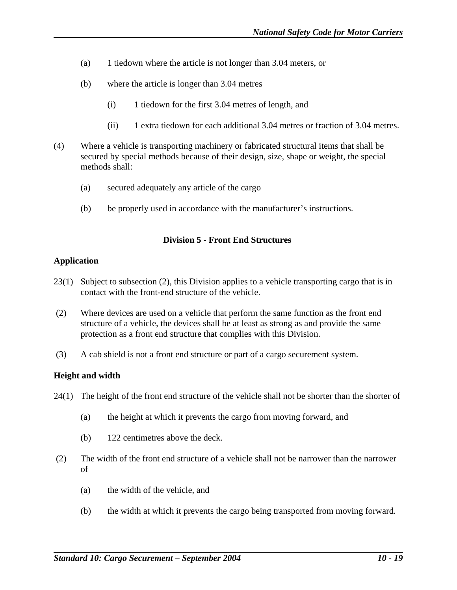- (a) 1 tiedown where the article is not longer than 3.04 meters, or
- (b) where the article is longer than 3.04 metres
	- (i) 1 tiedown for the first 3.04 metres of length, and
	- (ii) 1 extra tiedown for each additional 3.04 metres or fraction of 3.04 metres.
- (4) Where a vehicle is transporting machinery or fabricated structural items that shall be secured by special methods because of their design, size, shape or weight, the special methods shall:
	- (a) secured adequately any article of the cargo
	- (b) be properly used in accordance with the manufacturer's instructions.

## **Division 5 - Front End Structures**

### **Application**

- 23(1) Subject to subsection (2), this Division applies to a vehicle transporting cargo that is in contact with the front-end structure of the vehicle.
- (2) Where devices are used on a vehicle that perform the same function as the front end structure of a vehicle, the devices shall be at least as strong as and provide the same protection as a front end structure that complies with this Division.
- (3) A cab shield is not a front end structure or part of a cargo securement system.

## **Height and width**

- 24(1) The height of the front end structure of the vehicle shall not be shorter than the shorter of
	- (a) the height at which it prevents the cargo from moving forward, and
	- (b) 122 centimetres above the deck.
- (2) The width of the front end structure of a vehicle shall not be narrower than the narrower of
	- (a) the width of the vehicle, and
	- (b) the width at which it prevents the cargo being transported from moving forward.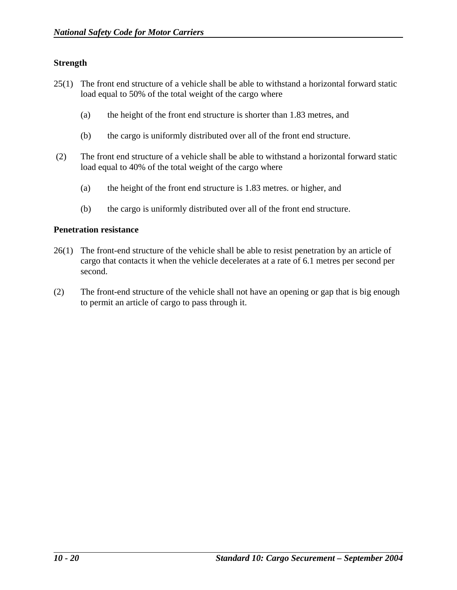## **Strength**

- 25(1) The front end structure of a vehicle shall be able to withstand a horizontal forward static load equal to 50% of the total weight of the cargo where
	- (a) the height of the front end structure is shorter than 1.83 metres, and
	- (b) the cargo is uniformly distributed over all of the front end structure.
- (2) The front end structure of a vehicle shall be able to withstand a horizontal forward static load equal to 40% of the total weight of the cargo where
	- (a) the height of the front end structure is 1.83 metres. or higher, and
	- (b) the cargo is uniformly distributed over all of the front end structure.

#### **Penetration resistance**

- 26(1) The front-end structure of the vehicle shall be able to resist penetration by an article of cargo that contacts it when the vehicle decelerates at a rate of 6.1 metres per second per second.
- (2) The front-end structure of the vehicle shall not have an opening or gap that is big enough to permit an article of cargo to pass through it.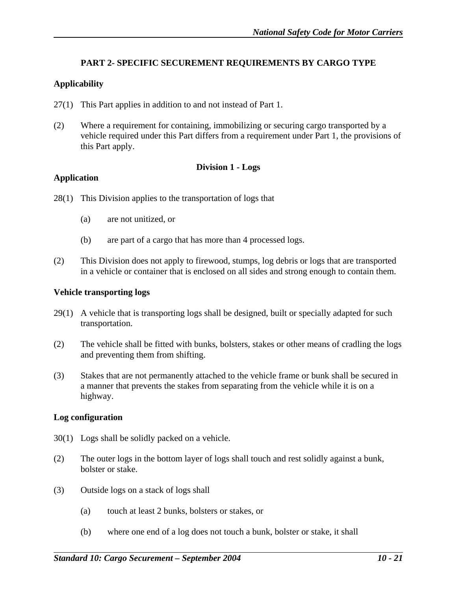## **PART 2- SPECIFIC SECUREMENT REQUIREMENTS BY CARGO TYPE**

## **Applicability**

- 27(1) This Part applies in addition to and not instead of Part 1.
- (2) Where a requirement for containing, immobilizing or securing cargo transported by a vehicle required under this Part differs from a requirement under Part 1, the provisions of this Part apply.

### **Division 1 - Logs**

## **Application**

- 28(1) This Division applies to the transportation of logs that
	- (a) are not unitized, or
	- (b) are part of a cargo that has more than 4 processed logs.
- (2) This Division does not apply to firewood, stumps, log debris or logs that are transported in a vehicle or container that is enclosed on all sides and strong enough to contain them.

#### **Vehicle transporting logs**

- 29(1) A vehicle that is transporting logs shall be designed, built or specially adapted for such transportation.
- (2) The vehicle shall be fitted with bunks, bolsters, stakes or other means of cradling the logs and preventing them from shifting.
- (3) Stakes that are not permanently attached to the vehicle frame or bunk shall be secured in a manner that prevents the stakes from separating from the vehicle while it is on a highway.

## **Log configuration**

- 30(1) Logs shall be solidly packed on a vehicle.
- (2) The outer logs in the bottom layer of logs shall touch and rest solidly against a bunk, bolster or stake.
- (3) Outside logs on a stack of logs shall
	- (a) touch at least 2 bunks, bolsters or stakes, or
	- (b) where one end of a log does not touch a bunk, bolster or stake, it shall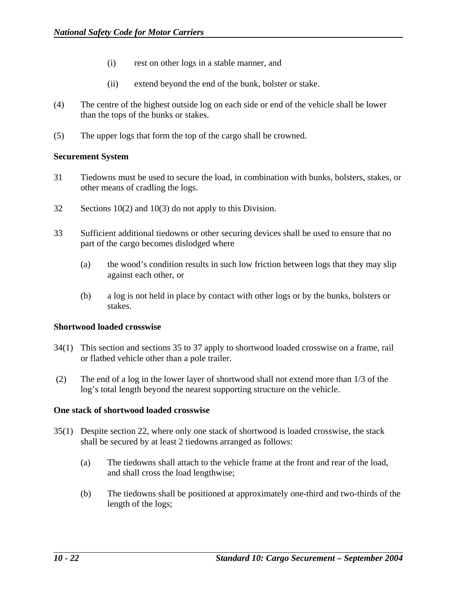- (i) rest on other logs in a stable manner, and
- (ii) extend beyond the end of the bunk, bolster or stake.
- (4) The centre of the highest outside log on each side or end of the vehicle shall be lower than the tops of the bunks or stakes.
- (5) The upper logs that form the top of the cargo shall be crowned.

#### **Securement System**

- 31 Tiedowns must be used to secure the load, in combination with bunks, bolsters, stakes, or other means of cradling the logs.
- 32 Sections 10(2) and 10(3) do not apply to this Division.
- 33 Sufficient additional tiedowns or other securing devices shall be used to ensure that no part of the cargo becomes dislodged where
	- (a) the wood's condition results in such low friction between logs that they may slip against each other, or
	- (b) a log is not held in place by contact with other logs or by the bunks, bolsters or stakes.

#### **Shortwood loaded crosswise**

- 34(1) This section and sections 35 to 37 apply to shortwood loaded crosswise on a frame, rail or flatbed vehicle other than a pole trailer.
- (2) The end of a log in the lower layer of shortwood shall not extend more than 1/3 of the log's total length beyond the nearest supporting structure on the vehicle.

### **One stack of shortwood loaded crosswise**

- 35(1) Despite section 22, where only one stack of shortwood is loaded crosswise, the stack shall be secured by at least 2 tiedowns arranged as follows:
	- (a) The tiedowns shall attach to the vehicle frame at the front and rear of the load, and shall cross the load lengthwise;
	- (b) The tiedowns shall be positioned at approximately one-third and two-thirds of the length of the logs;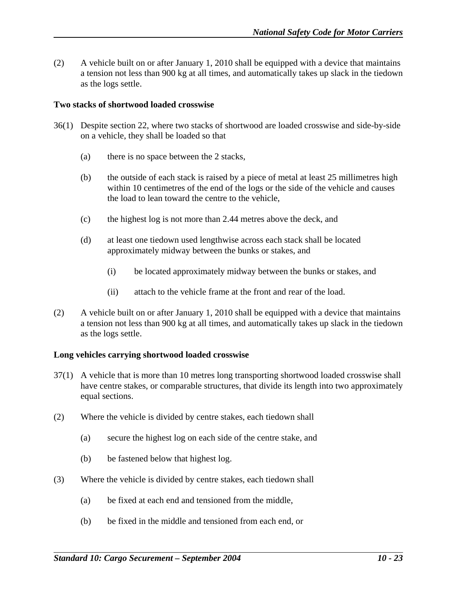(2) A vehicle built on or after January 1, 2010 shall be equipped with a device that maintains a tension not less than 900 kg at all times, and automatically takes up slack in the tiedown as the logs settle.

## **Two stacks of shortwood loaded crosswise**

- 36(1) Despite section 22, where two stacks of shortwood are loaded crosswise and side-by-side on a vehicle, they shall be loaded so that
	- (a) there is no space between the 2 stacks,
	- (b) the outside of each stack is raised by a piece of metal at least 25 millimetres high within 10 centimetres of the end of the logs or the side of the vehicle and causes the load to lean toward the centre to the vehicle,
	- (c) the highest log is not more than 2.44 metres above the deck, and
	- (d) at least one tiedown used lengthwise across each stack shall be located approximately midway between the bunks or stakes, and
		- (i) be located approximately midway between the bunks or stakes, and
		- (ii) attach to the vehicle frame at the front and rear of the load.
- (2) A vehicle built on or after January 1, 2010 shall be equipped with a device that maintains a tension not less than 900 kg at all times, and automatically takes up slack in the tiedown as the logs settle.

## **Long vehicles carrying shortwood loaded crosswise**

- 37(1) A vehicle that is more than 10 metres long transporting shortwood loaded crosswise shall have centre stakes, or comparable structures, that divide its length into two approximately equal sections.
- (2) Where the vehicle is divided by centre stakes, each tiedown shall
	- (a) secure the highest log on each side of the centre stake, and
	- (b) be fastened below that highest log.
- (3) Where the vehicle is divided by centre stakes, each tiedown shall
	- (a) be fixed at each end and tensioned from the middle,
	- (b) be fixed in the middle and tensioned from each end, or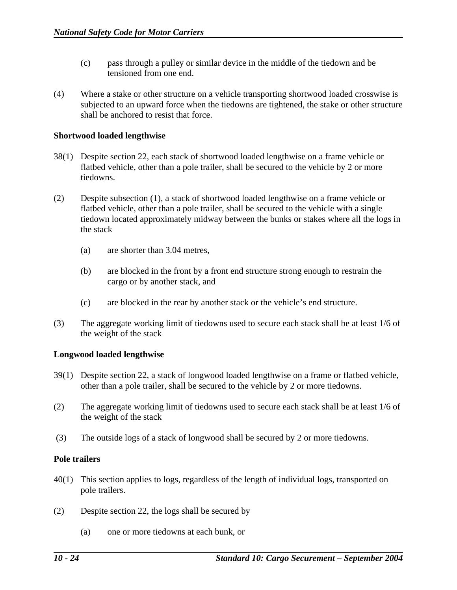- (c) pass through a pulley or similar device in the middle of the tiedown and be tensioned from one end.
- (4) Where a stake or other structure on a vehicle transporting shortwood loaded crosswise is subjected to an upward force when the tiedowns are tightened, the stake or other structure shall be anchored to resist that force.

#### **Shortwood loaded lengthwise**

- 38(1) Despite section 22, each stack of shortwood loaded lengthwise on a frame vehicle or flatbed vehicle, other than a pole trailer, shall be secured to the vehicle by 2 or more tiedowns.
- (2) Despite subsection (1), a stack of shortwood loaded lengthwise on a frame vehicle or flatbed vehicle, other than a pole trailer, shall be secured to the vehicle with a single tiedown located approximately midway between the bunks or stakes where all the logs in the stack
	- (a) are shorter than 3.04 metres,
	- (b) are blocked in the front by a front end structure strong enough to restrain the cargo or by another stack, and
	- (c) are blocked in the rear by another stack or the vehicle's end structure.
- (3) The aggregate working limit of tiedowns used to secure each stack shall be at least 1/6 of the weight of the stack

## **Longwood loaded lengthwise**

- 39(1) Despite section 22, a stack of longwood loaded lengthwise on a frame or flatbed vehicle, other than a pole trailer, shall be secured to the vehicle by 2 or more tiedowns.
- (2) The aggregate working limit of tiedowns used to secure each stack shall be at least 1/6 of the weight of the stack
- (3) The outside logs of a stack of longwood shall be secured by 2 or more tiedowns.

## **Pole trailers**

- 40(1) This section applies to logs, regardless of the length of individual logs, transported on pole trailers.
- (2) Despite section 22, the logs shall be secured by
	- (a) one or more tiedowns at each bunk, or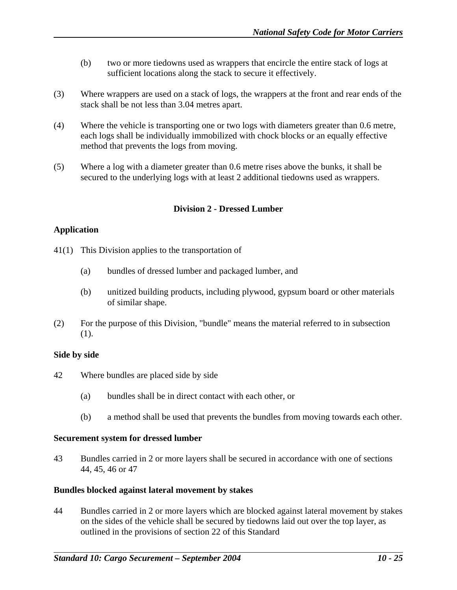- (b) two or more tiedowns used as wrappers that encircle the entire stack of logs at sufficient locations along the stack to secure it effectively.
- (3) Where wrappers are used on a stack of logs, the wrappers at the front and rear ends of the stack shall be not less than 3.04 metres apart.
- (4) Where the vehicle is transporting one or two logs with diameters greater than 0.6 metre, each logs shall be individually immobilized with chock blocks or an equally effective method that prevents the logs from moving.
- (5) Where a log with a diameter greater than 0.6 metre rises above the bunks, it shall be secured to the underlying logs with at least 2 additional tiedowns used as wrappers.

## **Division 2 - Dressed Lumber**

### **Application**

- 41(1) This Division applies to the transportation of
	- (a) bundles of dressed lumber and packaged lumber, and
	- (b) unitized building products, including plywood, gypsum board or other materials of similar shape.
- (2) For the purpose of this Division, "bundle" means the material referred to in subsection (1).

#### **Side by side**

- 42 Where bundles are placed side by side
	- (a) bundles shall be in direct contact with each other, or
	- (b) a method shall be used that prevents the bundles from moving towards each other.

#### **Securement system for dressed lumber**

43 Bundles carried in 2 or more layers shall be secured in accordance with one of sections 44, 45, 46 or 47

#### **Bundles blocked against lateral movement by stakes**

44 Bundles carried in 2 or more layers which are blocked against lateral movement by stakes on the sides of the vehicle shall be secured by tiedowns laid out over the top layer, as outlined in the provisions of section 22 of this Standard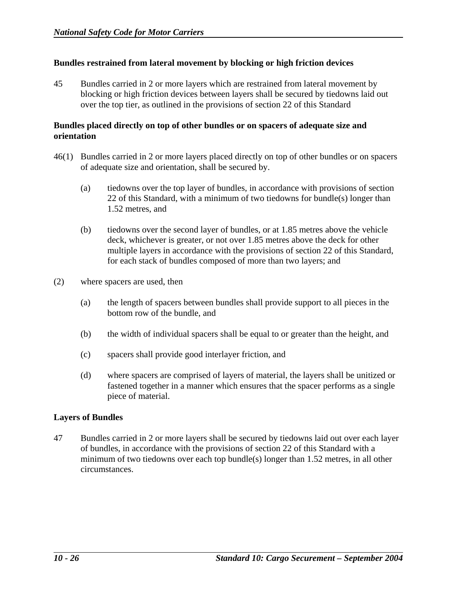## **Bundles restrained from lateral movement by blocking or high friction devices**

45 Bundles carried in 2 or more layers which are restrained from lateral movement by blocking or high friction devices between layers shall be secured by tiedowns laid out over the top tier, as outlined in the provisions of section 22 of this Standard

### **Bundles placed directly on top of other bundles or on spacers of adequate size and orientation**

- 46(1) Bundles carried in 2 or more layers placed directly on top of other bundles or on spacers of adequate size and orientation, shall be secured by.
	- (a) tiedowns over the top layer of bundles, in accordance with provisions of section 22 of this Standard, with a minimum of two tiedowns for bundle(s) longer than 1.52 metres, and
	- (b) tiedowns over the second layer of bundles, or at 1.85 metres above the vehicle deck, whichever is greater, or not over 1.85 metres above the deck for other multiple layers in accordance with the provisions of section 22 of this Standard, for each stack of bundles composed of more than two layers; and
- (2) where spacers are used, then
	- (a) the length of spacers between bundles shall provide support to all pieces in the bottom row of the bundle, and
	- (b) the width of individual spacers shall be equal to or greater than the height, and
	- (c) spacers shall provide good interlayer friction, and
	- (d) where spacers are comprised of layers of material, the layers shall be unitized or fastened together in a manner which ensures that the spacer performs as a single piece of material.

#### **Layers of Bundles**

47 Bundles carried in 2 or more layers shall be secured by tiedowns laid out over each layer of bundles, in accordance with the provisions of section 22 of this Standard with a minimum of two tiedowns over each top bundle(s) longer than 1.52 metres, in all other circumstances.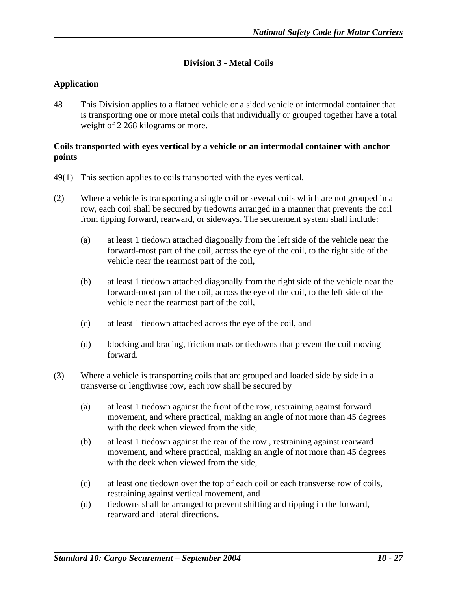# **Division 3 - Metal Coils**

## **Application**

48 This Division applies to a flatbed vehicle or a sided vehicle or intermodal container that is transporting one or more metal coils that individually or grouped together have a total weight of 2 268 kilograms or more.

## **Coils transported with eyes vertical by a vehicle or an intermodal container with anchor points**

- 49(1) This section applies to coils transported with the eyes vertical.
- (2) Where a vehicle is transporting a single coil or several coils which are not grouped in a row, each coil shall be secured by tiedowns arranged in a manner that prevents the coil from tipping forward, rearward, or sideways. The securement system shall include:
	- (a) at least 1 tiedown attached diagonally from the left side of the vehicle near the forward-most part of the coil, across the eye of the coil, to the right side of the vehicle near the rearmost part of the coil,
	- (b) at least 1 tiedown attached diagonally from the right side of the vehicle near the forward-most part of the coil, across the eye of the coil, to the left side of the vehicle near the rearmost part of the coil,
	- (c) at least 1 tiedown attached across the eye of the coil, and
	- (d) blocking and bracing, friction mats or tiedowns that prevent the coil moving forward.
- (3) Where a vehicle is transporting coils that are grouped and loaded side by side in a transverse or lengthwise row, each row shall be secured by
	- (a) at least 1 tiedown against the front of the row, restraining against forward movement, and where practical, making an angle of not more than 45 degrees with the deck when viewed from the side.
	- (b) at least 1 tiedown against the rear of the row , restraining against rearward movement, and where practical, making an angle of not more than 45 degrees with the deck when viewed from the side,
	- (c) at least one tiedown over the top of each coil or each transverse row of coils, restraining against vertical movement, and
	- (d) tiedowns shall be arranged to prevent shifting and tipping in the forward, rearward and lateral directions.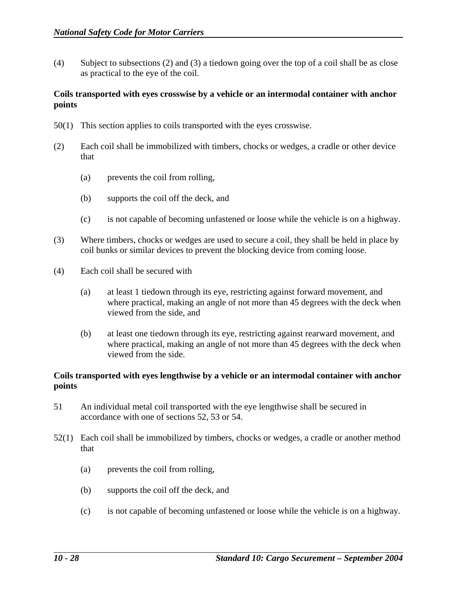(4) Subject to subsections (2) and (3) a tiedown going over the top of a coil shall be as close as practical to the eye of the coil.

## **Coils transported with eyes crosswise by a vehicle or an intermodal container with anchor points**

- 50(1) This section applies to coils transported with the eyes crosswise.
- (2) Each coil shall be immobilized with timbers, chocks or wedges, a cradle or other device that
	- (a) prevents the coil from rolling,
	- (b) supports the coil off the deck, and
	- (c) is not capable of becoming unfastened or loose while the vehicle is on a highway.
- (3) Where timbers, chocks or wedges are used to secure a coil, they shall be held in place by coil bunks or similar devices to prevent the blocking device from coming loose.
- (4) Each coil shall be secured with
	- (a) at least 1 tiedown through its eye, restricting against forward movement, and where practical, making an angle of not more than 45 degrees with the deck when viewed from the side, and
	- (b) at least one tiedown through its eye, restricting against rearward movement, and where practical, making an angle of not more than 45 degrees with the deck when viewed from the side.

## **Coils transported with eyes lengthwise by a vehicle or an intermodal container with anchor points**

- 51 An individual metal coil transported with the eye lengthwise shall be secured in accordance with one of sections 52, 53 or 54.
- 52(1) Each coil shall be immobilized by timbers, chocks or wedges, a cradle or another method that
	- (a) prevents the coil from rolling,
	- (b) supports the coil off the deck, and
	- (c) is not capable of becoming unfastened or loose while the vehicle is on a highway.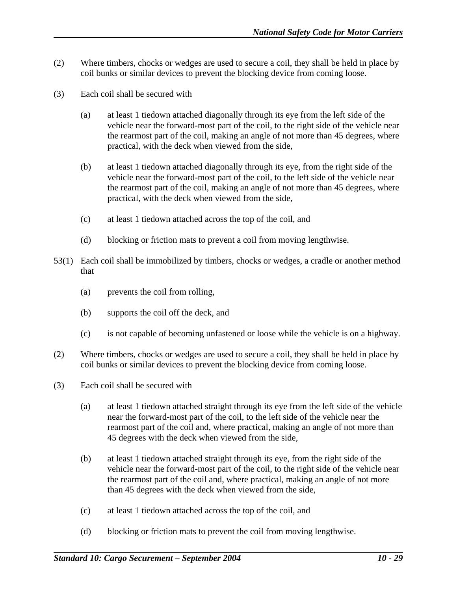- (2) Where timbers, chocks or wedges are used to secure a coil, they shall be held in place by coil bunks or similar devices to prevent the blocking device from coming loose.
- (3) Each coil shall be secured with
	- (a) at least 1 tiedown attached diagonally through its eye from the left side of the vehicle near the forward-most part of the coil, to the right side of the vehicle near the rearmost part of the coil, making an angle of not more than 45 degrees, where practical, with the deck when viewed from the side,
	- (b) at least 1 tiedown attached diagonally through its eye, from the right side of the vehicle near the forward-most part of the coil, to the left side of the vehicle near the rearmost part of the coil, making an angle of not more than 45 degrees, where practical, with the deck when viewed from the side,
	- (c) at least 1 tiedown attached across the top of the coil, and
	- (d) blocking or friction mats to prevent a coil from moving lengthwise.
- 53(1) Each coil shall be immobilized by timbers, chocks or wedges, a cradle or another method that
	- (a) prevents the coil from rolling,
	- (b) supports the coil off the deck, and
	- (c) is not capable of becoming unfastened or loose while the vehicle is on a highway.
- (2) Where timbers, chocks or wedges are used to secure a coil, they shall be held in place by coil bunks or similar devices to prevent the blocking device from coming loose.
- (3) Each coil shall be secured with
	- (a) at least 1 tiedown attached straight through its eye from the left side of the vehicle near the forward-most part of the coil, to the left side of the vehicle near the rearmost part of the coil and, where practical, making an angle of not more than 45 degrees with the deck when viewed from the side,
	- (b) at least 1 tiedown attached straight through its eye, from the right side of the vehicle near the forward-most part of the coil, to the right side of the vehicle near the rearmost part of the coil and, where practical, making an angle of not more than 45 degrees with the deck when viewed from the side,
	- (c) at least 1 tiedown attached across the top of the coil, and
	- (d) blocking or friction mats to prevent the coil from moving lengthwise.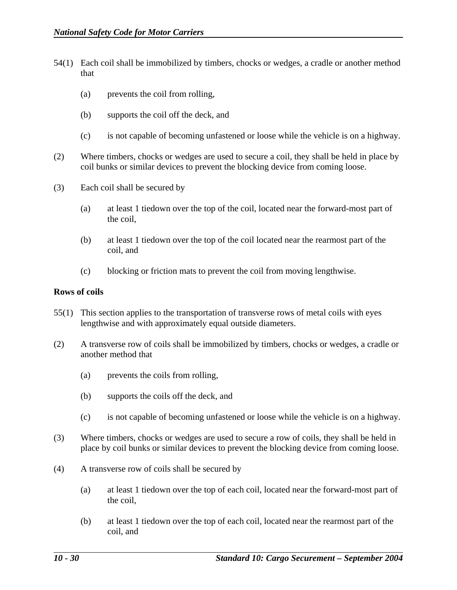- 54(1) Each coil shall be immobilized by timbers, chocks or wedges, a cradle or another method that
	- (a) prevents the coil from rolling,
	- (b) supports the coil off the deck, and
	- (c) is not capable of becoming unfastened or loose while the vehicle is on a highway.
- (2) Where timbers, chocks or wedges are used to secure a coil, they shall be held in place by coil bunks or similar devices to prevent the blocking device from coming loose.
- (3) Each coil shall be secured by
	- (a) at least 1 tiedown over the top of the coil, located near the forward-most part of the coil,
	- (b) at least 1 tiedown over the top of the coil located near the rearmost part of the coil, and
	- (c) blocking or friction mats to prevent the coil from moving lengthwise.

#### **Rows of coils**

- 55(1) This section applies to the transportation of transverse rows of metal coils with eyes lengthwise and with approximately equal outside diameters.
- (2) A transverse row of coils shall be immobilized by timbers, chocks or wedges, a cradle or another method that
	- (a) prevents the coils from rolling,
	- (b) supports the coils off the deck, and
	- (c) is not capable of becoming unfastened or loose while the vehicle is on a highway.
- (3) Where timbers, chocks or wedges are used to secure a row of coils, they shall be held in place by coil bunks or similar devices to prevent the blocking device from coming loose.
- (4) A transverse row of coils shall be secured by
	- (a) at least 1 tiedown over the top of each coil, located near the forward-most part of the coil,
	- (b) at least 1 tiedown over the top of each coil, located near the rearmost part of the coil, and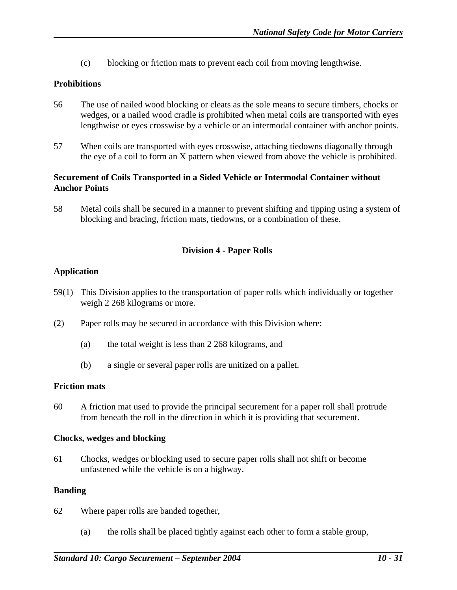(c) blocking or friction mats to prevent each coil from moving lengthwise.

## **Prohibitions**

- 56 The use of nailed wood blocking or cleats as the sole means to secure timbers, chocks or wedges, or a nailed wood cradle is prohibited when metal coils are transported with eyes lengthwise or eyes crosswise by a vehicle or an intermodal container with anchor points.
- 57 When coils are transported with eyes crosswise, attaching tiedowns diagonally through the eye of a coil to form an X pattern when viewed from above the vehicle is prohibited.

## **Securement of Coils Transported in a Sided Vehicle or Intermodal Container without Anchor Points**

58 Metal coils shall be secured in a manner to prevent shifting and tipping using a system of blocking and bracing, friction mats, tiedowns, or a combination of these.

## **Division 4 - Paper Rolls**

#### **Application**

- 59(1) This Division applies to the transportation of paper rolls which individually or together weigh 2 268 kilograms or more.
- (2) Paper rolls may be secured in accordance with this Division where:
	- (a) the total weight is less than 2 268 kilograms, and
	- (b) a single or several paper rolls are unitized on a pallet.

#### **Friction mats**

60 A friction mat used to provide the principal securement for a paper roll shall protrude from beneath the roll in the direction in which it is providing that securement.

#### **Chocks, wedges and blocking**

61 Chocks, wedges or blocking used to secure paper rolls shall not shift or become unfastened while the vehicle is on a highway.

#### **Banding**

- 62 Where paper rolls are banded together,
	- (a) the rolls shall be placed tightly against each other to form a stable group,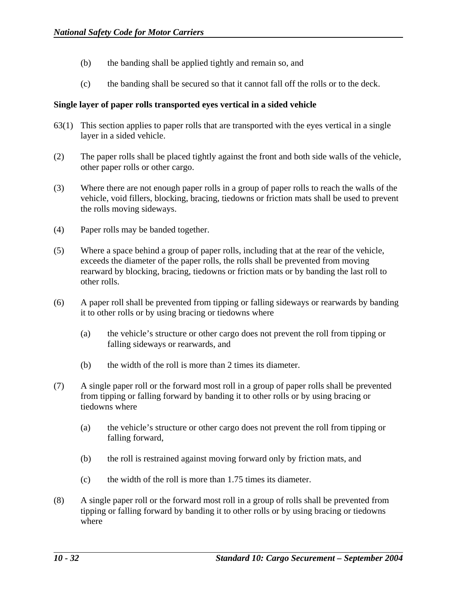- (b) the banding shall be applied tightly and remain so, and
- (c) the banding shall be secured so that it cannot fall off the rolls or to the deck.

## **Single layer of paper rolls transported eyes vertical in a sided vehicle**

- 63(1) This section applies to paper rolls that are transported with the eyes vertical in a single layer in a sided vehicle.
- (2) The paper rolls shall be placed tightly against the front and both side walls of the vehicle, other paper rolls or other cargo.
- (3) Where there are not enough paper rolls in a group of paper rolls to reach the walls of the vehicle, void fillers, blocking, bracing, tiedowns or friction mats shall be used to prevent the rolls moving sideways.
- (4) Paper rolls may be banded together.
- (5) Where a space behind a group of paper rolls, including that at the rear of the vehicle, exceeds the diameter of the paper rolls, the rolls shall be prevented from moving rearward by blocking, bracing, tiedowns or friction mats or by banding the last roll to other rolls.
- (6) A paper roll shall be prevented from tipping or falling sideways or rearwards by banding it to other rolls or by using bracing or tiedowns where
	- (a) the vehicle's structure or other cargo does not prevent the roll from tipping or falling sideways or rearwards, and
	- (b) the width of the roll is more than 2 times its diameter.
- (7) A single paper roll or the forward most roll in a group of paper rolls shall be prevented from tipping or falling forward by banding it to other rolls or by using bracing or tiedowns where
	- (a) the vehicle's structure or other cargo does not prevent the roll from tipping or falling forward,
	- (b) the roll is restrained against moving forward only by friction mats, and
	- (c) the width of the roll is more than 1.75 times its diameter.
- (8) A single paper roll or the forward most roll in a group of rolls shall be prevented from tipping or falling forward by banding it to other rolls or by using bracing or tiedowns where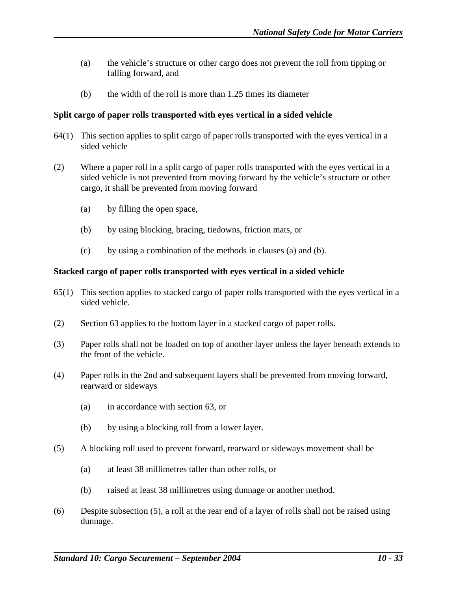- (a) the vehicle's structure or other cargo does not prevent the roll from tipping or falling forward, and
- (b) the width of the roll is more than 1.25 times its diameter

#### **Split cargo of paper rolls transported with eyes vertical in a sided vehicle**

- 64(1) This section applies to split cargo of paper rolls transported with the eyes vertical in a sided vehicle
- (2) Where a paper roll in a split cargo of paper rolls transported with the eyes vertical in a sided vehicle is not prevented from moving forward by the vehicle's structure or other cargo, it shall be prevented from moving forward
	- (a) by filling the open space,
	- (b) by using blocking, bracing, tiedowns, friction mats, or
	- (c) by using a combination of the methods in clauses (a) and (b).

#### **Stacked cargo of paper rolls transported with eyes vertical in a sided vehicle**

- 65(1) This section applies to stacked cargo of paper rolls transported with the eyes vertical in a sided vehicle.
- (2) Section 63 applies to the bottom layer in a stacked cargo of paper rolls.
- (3) Paper rolls shall not be loaded on top of another layer unless the layer beneath extends to the front of the vehicle.
- (4) Paper rolls in the 2nd and subsequent layers shall be prevented from moving forward, rearward or sideways
	- (a) in accordance with section 63, or
	- (b) by using a blocking roll from a lower layer.
- (5) A blocking roll used to prevent forward, rearward or sideways movement shall be
	- (a) at least 38 millimetres taller than other rolls, or
	- (b) raised at least 38 millimetres using dunnage or another method.
- (6) Despite subsection (5), a roll at the rear end of a layer of rolls shall not be raised using dunnage.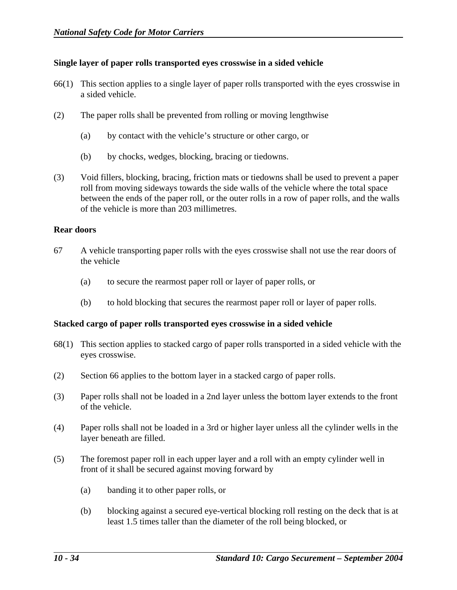## **Single layer of paper rolls transported eyes crosswise in a sided vehicle**

- 66(1) This section applies to a single layer of paper rolls transported with the eyes crosswise in a sided vehicle.
- (2) The paper rolls shall be prevented from rolling or moving lengthwise
	- (a) by contact with the vehicle's structure or other cargo, or
	- (b) by chocks, wedges, blocking, bracing or tiedowns.
- (3) Void fillers, blocking, bracing, friction mats or tiedowns shall be used to prevent a paper roll from moving sideways towards the side walls of the vehicle where the total space between the ends of the paper roll, or the outer rolls in a row of paper rolls, and the walls of the vehicle is more than 203 millimetres.

#### **Rear doors**

- 67 A vehicle transporting paper rolls with the eyes crosswise shall not use the rear doors of the vehicle
	- (a) to secure the rearmost paper roll or layer of paper rolls, or
	- (b) to hold blocking that secures the rearmost paper roll or layer of paper rolls.

#### **Stacked cargo of paper rolls transported eyes crosswise in a sided vehicle**

- 68(1) This section applies to stacked cargo of paper rolls transported in a sided vehicle with the eyes crosswise.
- (2) Section 66 applies to the bottom layer in a stacked cargo of paper rolls.
- (3) Paper rolls shall not be loaded in a 2nd layer unless the bottom layer extends to the front of the vehicle.
- (4) Paper rolls shall not be loaded in a 3rd or higher layer unless all the cylinder wells in the layer beneath are filled.
- (5) The foremost paper roll in each upper layer and a roll with an empty cylinder well in front of it shall be secured against moving forward by
	- (a) banding it to other paper rolls, or
	- (b) blocking against a secured eye-vertical blocking roll resting on the deck that is at least 1.5 times taller than the diameter of the roll being blocked, or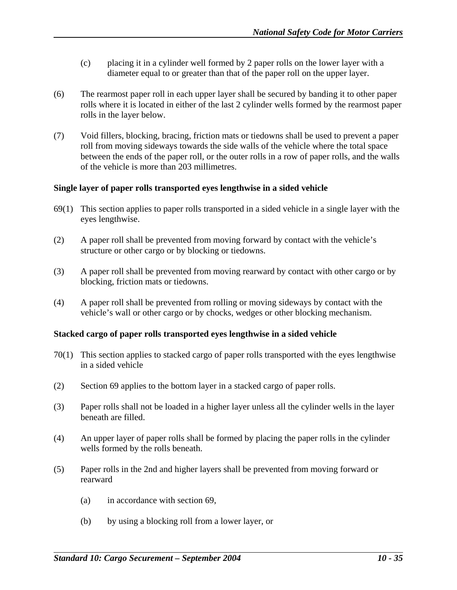- (c) placing it in a cylinder well formed by 2 paper rolls on the lower layer with a diameter equal to or greater than that of the paper roll on the upper layer.
- (6) The rearmost paper roll in each upper layer shall be secured by banding it to other paper rolls where it is located in either of the last 2 cylinder wells formed by the rearmost paper rolls in the layer below.
- (7) Void fillers, blocking, bracing, friction mats or tiedowns shall be used to prevent a paper roll from moving sideways towards the side walls of the vehicle where the total space between the ends of the paper roll, or the outer rolls in a row of paper rolls, and the walls of the vehicle is more than 203 millimetres.

### **Single layer of paper rolls transported eyes lengthwise in a sided vehicle**

- 69(1) This section applies to paper rolls transported in a sided vehicle in a single layer with the eyes lengthwise.
- (2) A paper roll shall be prevented from moving forward by contact with the vehicle's structure or other cargo or by blocking or tiedowns.
- (3) A paper roll shall be prevented from moving rearward by contact with other cargo or by blocking, friction mats or tiedowns.
- (4) A paper roll shall be prevented from rolling or moving sideways by contact with the vehicle's wall or other cargo or by chocks, wedges or other blocking mechanism.

## **Stacked cargo of paper rolls transported eyes lengthwise in a sided vehicle**

- 70(1) This section applies to stacked cargo of paper rolls transported with the eyes lengthwise in a sided vehicle
- (2) Section 69 applies to the bottom layer in a stacked cargo of paper rolls.
- (3) Paper rolls shall not be loaded in a higher layer unless all the cylinder wells in the layer beneath are filled.
- (4) An upper layer of paper rolls shall be formed by placing the paper rolls in the cylinder wells formed by the rolls beneath.
- (5) Paper rolls in the 2nd and higher layers shall be prevented from moving forward or rearward
	- (a) in accordance with section 69,
	- (b) by using a blocking roll from a lower layer, or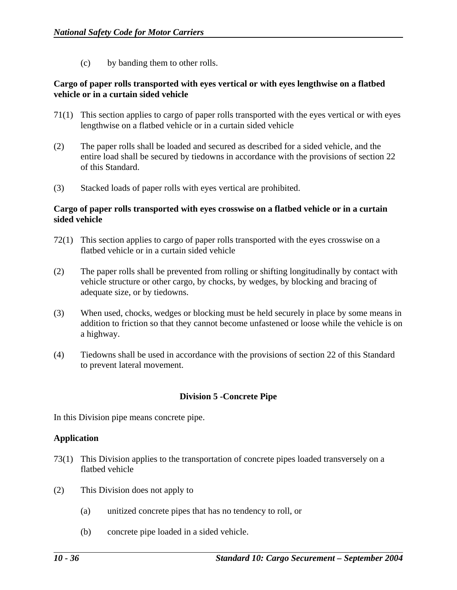(c) by banding them to other rolls.

## **Cargo of paper rolls transported with eyes vertical or with eyes lengthwise on a flatbed vehicle or in a curtain sided vehicle**

- 71(1) This section applies to cargo of paper rolls transported with the eyes vertical or with eyes lengthwise on a flatbed vehicle or in a curtain sided vehicle
- (2) The paper rolls shall be loaded and secured as described for a sided vehicle, and the entire load shall be secured by tiedowns in accordance with the provisions of section 22 of this Standard.
- (3) Stacked loads of paper rolls with eyes vertical are prohibited.

## **Cargo of paper rolls transported with eyes crosswise on a flatbed vehicle or in a curtain sided vehicle**

- 72(1) This section applies to cargo of paper rolls transported with the eyes crosswise on a flatbed vehicle or in a curtain sided vehicle
- (2) The paper rolls shall be prevented from rolling or shifting longitudinally by contact with vehicle structure or other cargo, by chocks, by wedges, by blocking and bracing of adequate size, or by tiedowns.
- (3) When used, chocks, wedges or blocking must be held securely in place by some means in addition to friction so that they cannot become unfastened or loose while the vehicle is on a highway.
- (4) Tiedowns shall be used in accordance with the provisions of section 22 of this Standard to prevent lateral movement.

## **Division 5 -Concrete Pipe**

In this Division pipe means concrete pipe.

#### **Application**

- 73(1) This Division applies to the transportation of concrete pipes loaded transversely on a flatbed vehicle
- (2) This Division does not apply to
	- (a) unitized concrete pipes that has no tendency to roll, or
	- (b) concrete pipe loaded in a sided vehicle.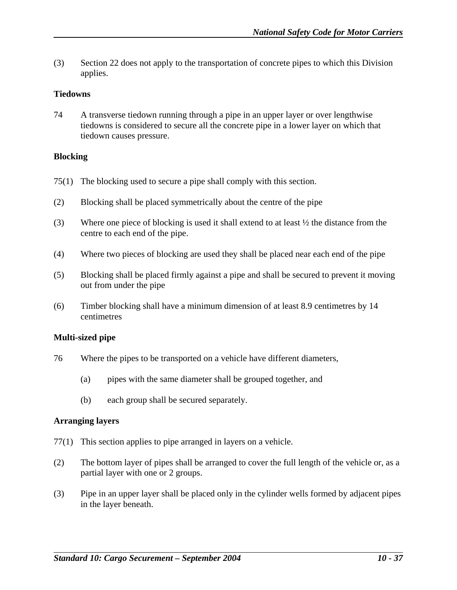(3) Section 22 does not apply to the transportation of concrete pipes to which this Division applies.

## **Tiedowns**

74 A transverse tiedown running through a pipe in an upper layer or over lengthwise tiedowns is considered to secure all the concrete pipe in a lower layer on which that tiedown causes pressure.

## **Blocking**

- 75(1) The blocking used to secure a pipe shall comply with this section.
- (2) Blocking shall be placed symmetrically about the centre of the pipe
- (3) Where one piece of blocking is used it shall extend to at least ½ the distance from the centre to each end of the pipe.
- (4) Where two pieces of blocking are used they shall be placed near each end of the pipe
- (5) Blocking shall be placed firmly against a pipe and shall be secured to prevent it moving out from under the pipe
- (6) Timber blocking shall have a minimum dimension of at least 8.9 centimetres by 14 centimetres

## **Multi-sized pipe**

- 76 Where the pipes to be transported on a vehicle have different diameters,
	- (a) pipes with the same diameter shall be grouped together, and
	- (b) each group shall be secured separately.

## **Arranging layers**

- 77(1) This section applies to pipe arranged in layers on a vehicle.
- (2) The bottom layer of pipes shall be arranged to cover the full length of the vehicle or, as a partial layer with one or 2 groups.
- (3) Pipe in an upper layer shall be placed only in the cylinder wells formed by adjacent pipes in the layer beneath.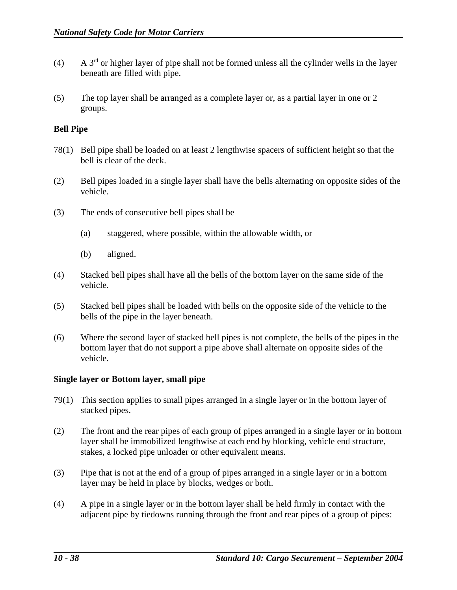- (4) A  $3<sup>rd</sup>$  or higher layer of pipe shall not be formed unless all the cylinder wells in the layer beneath are filled with pipe.
- (5) The top layer shall be arranged as a complete layer or, as a partial layer in one or 2 groups.

## **Bell Pipe**

- 78(1) Bell pipe shall be loaded on at least 2 lengthwise spacers of sufficient height so that the bell is clear of the deck.
- (2) Bell pipes loaded in a single layer shall have the bells alternating on opposite sides of the vehicle.
- (3) The ends of consecutive bell pipes shall be
	- (a) staggered, where possible, within the allowable width, or
	- (b) aligned.
- (4) Stacked bell pipes shall have all the bells of the bottom layer on the same side of the vehicle.
- (5) Stacked bell pipes shall be loaded with bells on the opposite side of the vehicle to the bells of the pipe in the layer beneath.
- (6) Where the second layer of stacked bell pipes is not complete, the bells of the pipes in the bottom layer that do not support a pipe above shall alternate on opposite sides of the vehicle.

#### **Single layer or Bottom layer, small pipe**

- 79(1) This section applies to small pipes arranged in a single layer or in the bottom layer of stacked pipes.
- (2) The front and the rear pipes of each group of pipes arranged in a single layer or in bottom layer shall be immobilized lengthwise at each end by blocking, vehicle end structure, stakes, a locked pipe unloader or other equivalent means.
- (3) Pipe that is not at the end of a group of pipes arranged in a single layer or in a bottom layer may be held in place by blocks, wedges or both.
- (4) A pipe in a single layer or in the bottom layer shall be held firmly in contact with the adjacent pipe by tiedowns running through the front and rear pipes of a group of pipes: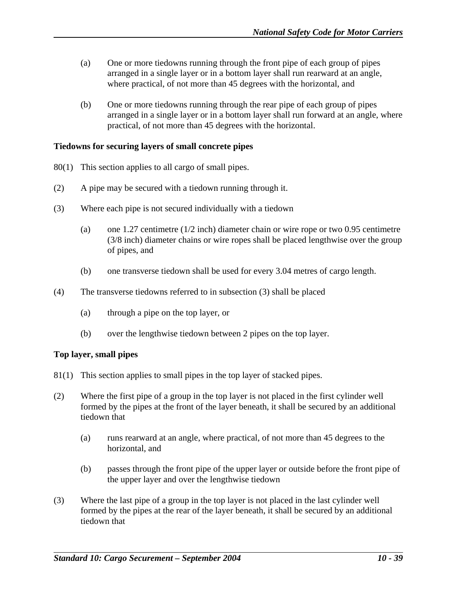- (a) One or more tiedowns running through the front pipe of each group of pipes arranged in a single layer or in a bottom layer shall run rearward at an angle, where practical, of not more than 45 degrees with the horizontal, and
- (b) One or more tiedowns running through the rear pipe of each group of pipes arranged in a single layer or in a bottom layer shall run forward at an angle, where practical, of not more than 45 degrees with the horizontal.

#### **Tiedowns for securing layers of small concrete pipes**

- 80(1) This section applies to all cargo of small pipes.
- (2) A pipe may be secured with a tiedown running through it.
- (3) Where each pipe is not secured individually with a tiedown
	- (a) one 1.27 centimetre (1/2 inch) diameter chain or wire rope or two 0.95 centimetre (3/8 inch) diameter chains or wire ropes shall be placed lengthwise over the group of pipes, and
	- (b) one transverse tiedown shall be used for every 3.04 metres of cargo length.
- (4) The transverse tiedowns referred to in subsection (3) shall be placed
	- (a) through a pipe on the top layer, or
	- (b) over the lengthwise tiedown between 2 pipes on the top layer.

## **Top layer, small pipes**

- 81(1) This section applies to small pipes in the top layer of stacked pipes.
- (2) Where the first pipe of a group in the top layer is not placed in the first cylinder well formed by the pipes at the front of the layer beneath, it shall be secured by an additional tiedown that
	- (a) runs rearward at an angle, where practical, of not more than 45 degrees to the horizontal, and
	- (b) passes through the front pipe of the upper layer or outside before the front pipe of the upper layer and over the lengthwise tiedown
- (3) Where the last pipe of a group in the top layer is not placed in the last cylinder well formed by the pipes at the rear of the layer beneath, it shall be secured by an additional tiedown that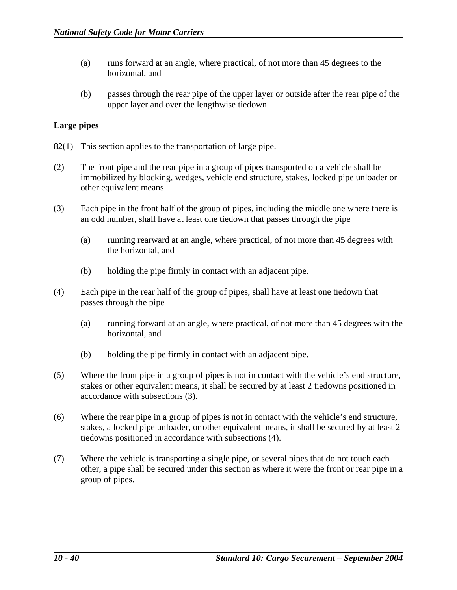- (a) runs forward at an angle, where practical, of not more than 45 degrees to the horizontal, and
- (b) passes through the rear pipe of the upper layer or outside after the rear pipe of the upper layer and over the lengthwise tiedown.

## **Large pipes**

- 82(1) This section applies to the transportation of large pipe.
- (2) The front pipe and the rear pipe in a group of pipes transported on a vehicle shall be immobilized by blocking, wedges, vehicle end structure, stakes, locked pipe unloader or other equivalent means
- (3) Each pipe in the front half of the group of pipes, including the middle one where there is an odd number, shall have at least one tiedown that passes through the pipe
	- (a) running rearward at an angle, where practical, of not more than 45 degrees with the horizontal, and
	- (b) holding the pipe firmly in contact with an adjacent pipe.
- (4) Each pipe in the rear half of the group of pipes, shall have at least one tiedown that passes through the pipe
	- (a) running forward at an angle, where practical, of not more than 45 degrees with the horizontal, and
	- (b) holding the pipe firmly in contact with an adjacent pipe.
- (5) Where the front pipe in a group of pipes is not in contact with the vehicle's end structure, stakes or other equivalent means, it shall be secured by at least 2 tiedowns positioned in accordance with subsections (3).
- (6) Where the rear pipe in a group of pipes is not in contact with the vehicle's end structure, stakes, a locked pipe unloader, or other equivalent means, it shall be secured by at least 2 tiedowns positioned in accordance with subsections (4).
- (7) Where the vehicle is transporting a single pipe, or several pipes that do not touch each other, a pipe shall be secured under this section as where it were the front or rear pipe in a group of pipes.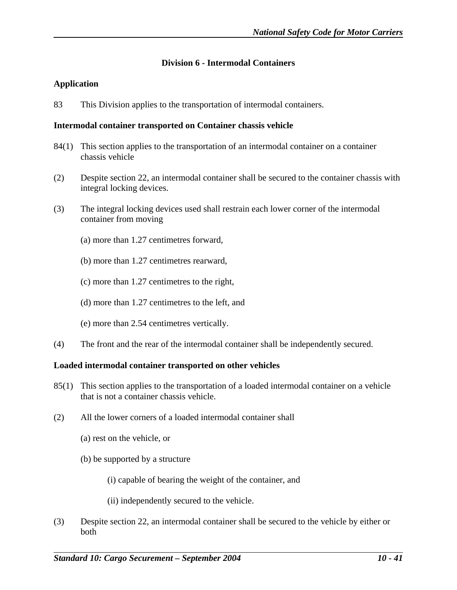## **Division 6 - Intermodal Containers**

## **Application**

83 This Division applies to the transportation of intermodal containers.

### **Intermodal container transported on Container chassis vehicle**

- 84(1) This section applies to the transportation of an intermodal container on a container chassis vehicle
- (2) Despite section 22, an intermodal container shall be secured to the container chassis with integral locking devices.
- (3) The integral locking devices used shall restrain each lower corner of the intermodal container from moving
	- (a) more than 1.27 centimetres forward,
	- (b) more than 1.27 centimetres rearward,
	- (c) more than 1.27 centimetres to the right,
	- (d) more than 1.27 centimetres to the left, and
	- (e) more than 2.54 centimetres vertically.
- (4) The front and the rear of the intermodal container shall be independently secured.

#### **Loaded intermodal container transported on other vehicles**

- 85(1) This section applies to the transportation of a loaded intermodal container on a vehicle that is not a container chassis vehicle.
- (2) All the lower corners of a loaded intermodal container shall
	- (a) rest on the vehicle, or
	- (b) be supported by a structure
		- (i) capable of bearing the weight of the container, and
		- (ii) independently secured to the vehicle.
- (3) Despite section 22, an intermodal container shall be secured to the vehicle by either or both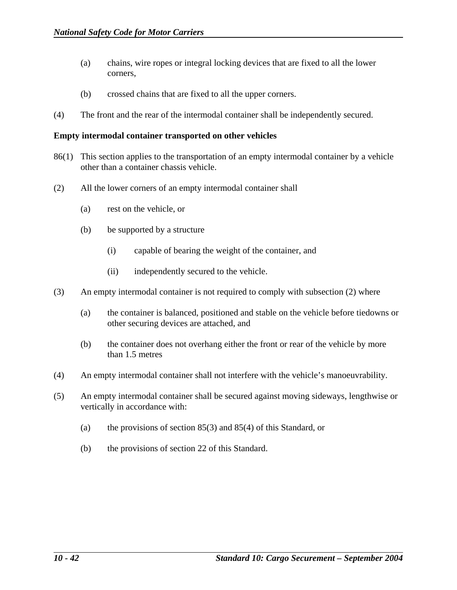- (a) chains, wire ropes or integral locking devices that are fixed to all the lower corners,
- (b) crossed chains that are fixed to all the upper corners.
- (4) The front and the rear of the intermodal container shall be independently secured.

#### **Empty intermodal container transported on other vehicles**

- 86(1) This section applies to the transportation of an empty intermodal container by a vehicle other than a container chassis vehicle.
- (2) All the lower corners of an empty intermodal container shall
	- (a) rest on the vehicle, or
	- (b) be supported by a structure
		- (i) capable of bearing the weight of the container, and
		- (ii) independently secured to the vehicle.
- (3) An empty intermodal container is not required to comply with subsection (2) where
	- (a) the container is balanced, positioned and stable on the vehicle before tiedowns or other securing devices are attached, and
	- (b) the container does not overhang either the front or rear of the vehicle by more than 1.5 metres
- (4) An empty intermodal container shall not interfere with the vehicle's manoeuvrability.
- (5) An empty intermodal container shall be secured against moving sideways, lengthwise or vertically in accordance with:
	- (a) the provisions of section 85(3) and 85(4) of this Standard, or
	- (b) the provisions of section 22 of this Standard.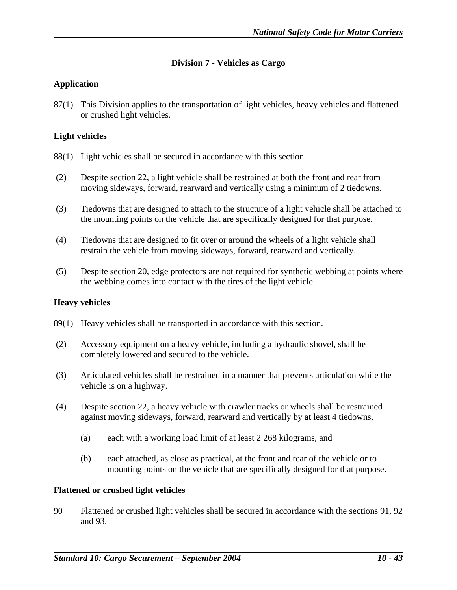## **Division 7 - Vehicles as Cargo**

## **Application**

87(1) This Division applies to the transportation of light vehicles, heavy vehicles and flattened or crushed light vehicles.

## **Light vehicles**

- 88(1) Light vehicles shall be secured in accordance with this section.
- (2) Despite section 22, a light vehicle shall be restrained at both the front and rear from moving sideways, forward, rearward and vertically using a minimum of 2 tiedowns.
- (3) Tiedowns that are designed to attach to the structure of a light vehicle shall be attached to the mounting points on the vehicle that are specifically designed for that purpose.
- (4) Tiedowns that are designed to fit over or around the wheels of a light vehicle shall restrain the vehicle from moving sideways, forward, rearward and vertically.
- (5) Despite section 20, edge protectors are not required for synthetic webbing at points where the webbing comes into contact with the tires of the light vehicle.

## **Heavy vehicles**

- 89(1) Heavy vehicles shall be transported in accordance with this section.
- (2) Accessory equipment on a heavy vehicle, including a hydraulic shovel, shall be completely lowered and secured to the vehicle.
- (3) Articulated vehicles shall be restrained in a manner that prevents articulation while the vehicle is on a highway.
- (4) Despite section 22, a heavy vehicle with crawler tracks or wheels shall be restrained against moving sideways, forward, rearward and vertically by at least 4 tiedowns,
	- (a) each with a working load limit of at least 2 268 kilograms, and
	- (b) each attached, as close as practical, at the front and rear of the vehicle or to mounting points on the vehicle that are specifically designed for that purpose.

## **Flattened or crushed light vehicles**

90 Flattened or crushed light vehicles shall be secured in accordance with the sections 91, 92 and 93.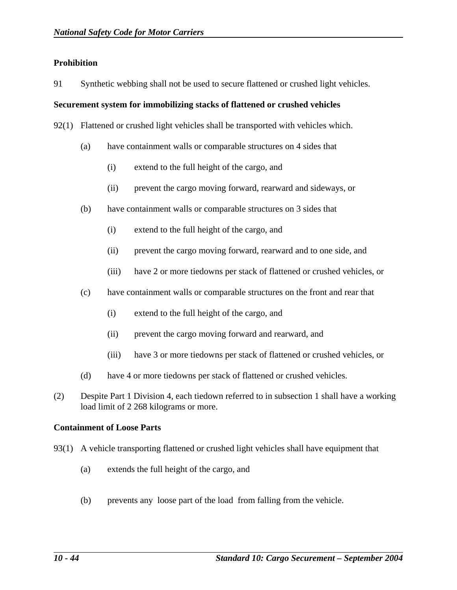## **Prohibition**

91 Synthetic webbing shall not be used to secure flattened or crushed light vehicles.

### **Securement system for immobilizing stacks of flattened or crushed vehicles**

92(1) Flattened or crushed light vehicles shall be transported with vehicles which.

- (a) have containment walls or comparable structures on 4 sides that
	- (i) extend to the full height of the cargo, and
	- (ii) prevent the cargo moving forward, rearward and sideways, or
- (b) have containment walls or comparable structures on 3 sides that
	- (i) extend to the full height of the cargo, and
	- (ii) prevent the cargo moving forward, rearward and to one side, and
	- (iii) have 2 or more tiedowns per stack of flattened or crushed vehicles, or
- (c) have containment walls or comparable structures on the front and rear that
	- (i) extend to the full height of the cargo, and
	- (ii) prevent the cargo moving forward and rearward, and
	- (iii) have 3 or more tiedowns per stack of flattened or crushed vehicles, or
- (d) have 4 or more tiedowns per stack of flattened or crushed vehicles.
- (2) Despite Part 1 Division 4, each tiedown referred to in subsection 1 shall have a working load limit of 2 268 kilograms or more.

#### **Containment of Loose Parts**

- 93(1) A vehicle transporting flattened or crushed light vehicles shall have equipment that
	- (a) extends the full height of the cargo, and
	- (b) prevents any loose part of the load from falling from the vehicle.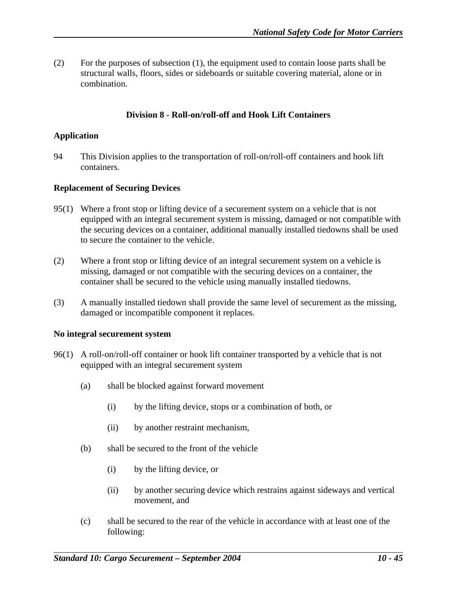(2) For the purposes of subsection (1), the equipment used to contain loose parts shall be structural walls, floors, sides or sideboards or suitable covering material, alone or in combination.

## **Division 8 - Roll-on/roll-off and Hook Lift Containers**

## **Application**

94 This Division applies to the transportation of roll-on/roll-off containers and hook lift containers.

### **Replacement of Securing Devices**

- 95(1) Where a front stop or lifting device of a securement system on a vehicle that is not equipped with an integral securement system is missing, damaged or not compatible with the securing devices on a container, additional manually installed tiedowns shall be used to secure the container to the vehicle.
- (2) Where a front stop or lifting device of an integral securement system on a vehicle is missing, damaged or not compatible with the securing devices on a container, the container shall be secured to the vehicle using manually installed tiedowns.
- (3) A manually installed tiedown shall provide the same level of securement as the missing, damaged or incompatible component it replaces.

#### **No integral securement system**

- 96(1) A roll-on/roll-off container or hook lift container transported by a vehicle that is not equipped with an integral securement system
	- (a) shall be blocked against forward movement
		- (i) by the lifting device, stops or a combination of both, or
		- (ii) by another restraint mechanism,
	- (b) shall be secured to the front of the vehicle
		- (i) by the lifting device, or
		- (ii) by another securing device which restrains against sideways and vertical movement, and
	- (c) shall be secured to the rear of the vehicle in accordance with at least one of the following: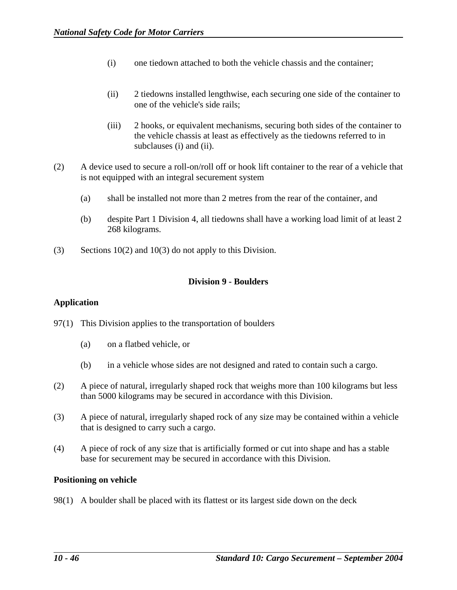- (i) one tiedown attached to both the vehicle chassis and the container;
- (ii) 2 tiedowns installed lengthwise, each securing one side of the container to one of the vehicle's side rails;
- (iii) 2 hooks, or equivalent mechanisms, securing both sides of the container to the vehicle chassis at least as effectively as the tiedowns referred to in subclauses (i) and (ii).
- (2) A device used to secure a roll-on/roll off or hook lift container to the rear of a vehicle that is not equipped with an integral securement system
	- (a) shall be installed not more than 2 metres from the rear of the container, and
	- (b) despite Part 1 Division 4, all tiedowns shall have a working load limit of at least 2 268 kilograms.
- (3) Sections 10(2) and 10(3) do not apply to this Division.

#### **Division 9 - Boulders**

#### **Application**

- 97(1) This Division applies to the transportation of boulders
	- (a) on a flatbed vehicle, or
	- (b) in a vehicle whose sides are not designed and rated to contain such a cargo.
- (2) A piece of natural, irregularly shaped rock that weighs more than 100 kilograms but less than 5000 kilograms may be secured in accordance with this Division.
- (3) A piece of natural, irregularly shaped rock of any size may be contained within a vehicle that is designed to carry such a cargo.
- (4) A piece of rock of any size that is artificially formed or cut into shape and has a stable base for securement may be secured in accordance with this Division.

#### **Positioning on vehicle**

98(1) A boulder shall be placed with its flattest or its largest side down on the deck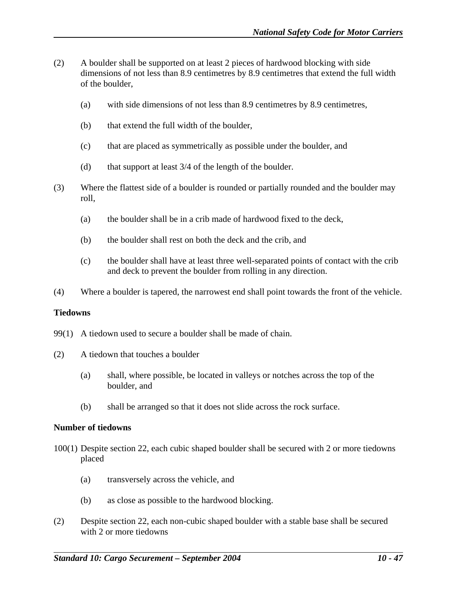- (2) A boulder shall be supported on at least 2 pieces of hardwood blocking with side dimensions of not less than 8.9 centimetres by 8.9 centimetres that extend the full width of the boulder,
	- (a) with side dimensions of not less than 8.9 centimetres by 8.9 centimetres,
	- (b) that extend the full width of the boulder,
	- (c) that are placed as symmetrically as possible under the boulder, and
	- (d) that support at least 3/4 of the length of the boulder.
- (3) Where the flattest side of a boulder is rounded or partially rounded and the boulder may roll,
	- (a) the boulder shall be in a crib made of hardwood fixed to the deck,
	- (b) the boulder shall rest on both the deck and the crib, and
	- (c) the boulder shall have at least three well-separated points of contact with the crib and deck to prevent the boulder from rolling in any direction.
- (4) Where a boulder is tapered, the narrowest end shall point towards the front of the vehicle.

#### **Tiedowns**

- 99(1) A tiedown used to secure a boulder shall be made of chain.
- (2) A tiedown that touches a boulder
	- (a) shall, where possible, be located in valleys or notches across the top of the boulder, and
	- (b) shall be arranged so that it does not slide across the rock surface.

#### **Number of tiedowns**

- 100(1) Despite section 22, each cubic shaped boulder shall be secured with 2 or more tiedowns placed
	- (a) transversely across the vehicle, and
	- (b) as close as possible to the hardwood blocking.
- (2) Despite section 22, each non-cubic shaped boulder with a stable base shall be secured with 2 or more tiedowns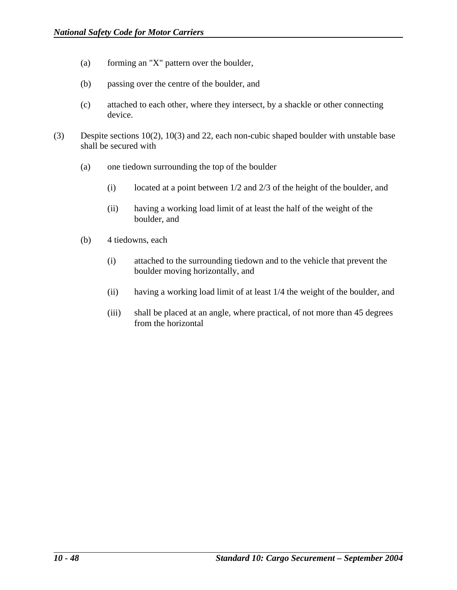- (a) forming an "X" pattern over the boulder,
- (b) passing over the centre of the boulder, and
- (c) attached to each other, where they intersect, by a shackle or other connecting device.
- (3) Despite sections 10(2), 10(3) and 22, each non-cubic shaped boulder with unstable base shall be secured with
	- (a) one tiedown surrounding the top of the boulder
		- (i) located at a point between 1/2 and 2/3 of the height of the boulder, and
		- (ii) having a working load limit of at least the half of the weight of the boulder, and
	- (b) 4 tiedowns, each
		- (i) attached to the surrounding tiedown and to the vehicle that prevent the boulder moving horizontally, and
		- (ii) having a working load limit of at least 1/4 the weight of the boulder, and
		- (iii) shall be placed at an angle, where practical, of not more than 45 degrees from the horizontal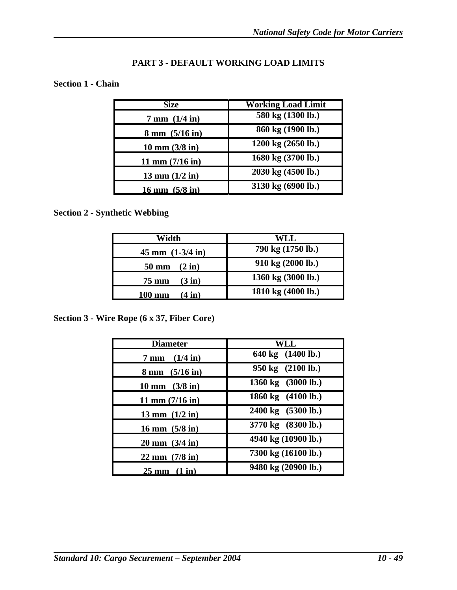# **PART 3 - DEFAULT WORKING LOAD LIMITS**

## **Section 1 - Chain**

| <b>Size</b>                       | <b>Working Load Limit</b> |
|-----------------------------------|---------------------------|
| $7 \text{ mm}$ (1/4 in)           | 580 kg (1300 lb.)         |
| $8 \text{ mm } (5/16 \text{ in})$ | 860 kg (1900 lb.)         |
| $10 \text{ mm} (3/8 \text{ in})$  | 1200 kg (2650 lb.)        |
| $11 \text{ mm} (7/16 \text{ in})$ | 1680 kg (3700 lb.)        |
| $13 \text{ mm } (1/2 \text{ in})$ | 2030 kg (4500 lb.)        |
| 16 mm $(5/8 in)$                  | 3130 kg (6900 lb.)        |

# **Section 2 - Synthetic Webbing**

| Width                                | WLL                |
|--------------------------------------|--------------------|
| $45 \text{ mm}$ $(1-3/4 \text{ in})$ | 790 kg (1750 lb.)  |
| 50 mm<br>$(2 \text{ in})$            | 910 kg (2000 lb.)  |
| 75 mm<br>$(3 \text{ in})$            | 1360 kg (3000 lb.) |
| 100 mm<br>$(4 \text{ in})$           | 1810 kg (4000 lb.) |

**Section 3 - Wire Rope (6 x 37, Fiber Core)**

| <b>Diameter</b>                    | WLL.                |
|------------------------------------|---------------------|
| 7 mm $(1/4 \text{ in})$            | 640 kg (1400 lb.)   |
| $8 \text{ mm}$ (5/16 in)           | 950 kg (2100 lb.)   |
| 10 mm $(3/8 in)$                   | 1360 kg (3000 lb.)  |
| $11 \text{ mm} (7/16 \text{ in})$  | 1860 kg (4100 lb.)  |
| 13 mm $(1/2$ in)                   | 2400 kg (5300 lb.)  |
| $16 \text{ mm}$ $(5/8 \text{ in})$ | 3770 kg (8300 lb.)  |
| $20 \text{ mm}$ $(3/4 \text{ in})$ | 4940 kg (10900 lb.) |
| $22 \text{ mm}$ (7/8 in)           | 7300 kg (16100 lb.) |
| $25 \text{ mm}$ $(1 \text{ in})$   | 9480 kg (20900 lb.) |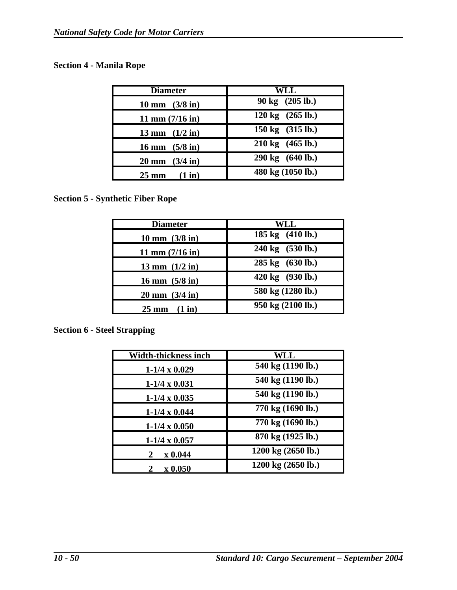## **Section 4 - Manila Rope**

| <b>Diameter</b>                    | WLL                                  |
|------------------------------------|--------------------------------------|
| 10 mm $(3/8 in)$                   | 90 kg (205 lb.)                      |
| $11 \text{ mm} (7/16 \text{ in})$  | $120 \text{ kg}$ $(265 \text{ lb.})$ |
| 13 mm $(1/2$ in)                   | 150 kg (315 lb.)                     |
| 16 mm $(5/8 in)$                   | $210 \text{ kg}$ (465 lb.)           |
| $20 \text{ mm}$ $(3/4 \text{ in})$ | 290 kg (640 lb.)                     |
| $25 \text{ mm}$<br>(1 in)          | 480 kg (1050 lb.)                    |

**Section 5 - Synthetic Fiber Rope** 

| <b>Diameter</b>                    | WLL               |
|------------------------------------|-------------------|
| 10 mm $(3/8$ in)                   | 185 kg (410 lb.)  |
| $11 \text{ mm} (7/16 \text{ in})$  | 240 kg (530 lb.)  |
| 13 mm $(1/2$ in)                   | 285 kg (630 lb.)  |
| 16 mm $(5/8 in)$                   | 420 kg (930 lb.)  |
| $20 \text{ mm}$ $(3/4 \text{ in})$ | 580 kg (1280 lb.) |
| $25 \text{ mm}$ $(1 \text{ in})$   | 950 kg (2100 lb.) |

**Section 6 - Steel Strapping** 

| <b>Width-thickness inch</b> | WLL                          |
|-----------------------------|------------------------------|
| $1-1/4 \times 0.029$        | 540 kg (1190 lb.)            |
| $1-1/4 \times 0.031$        | 540 kg (1190 lb.)            |
| $1-1/4 \times 0.035$        | 540 kg (1190 lb.)            |
| $1-1/4 \times 0.044$        | 770 kg (1690 lb.)            |
| $1-1/4 \times 0.050$        | 770 kg (1690 lb.)            |
| $1-1/4 \times 0.057$        | 870 kg (1925 lb.)            |
| x 0.044<br>2                | $1200 \text{ kg}$ (2650 lb.) |
| x 0.050                     | 1200 kg (2650 lb.)           |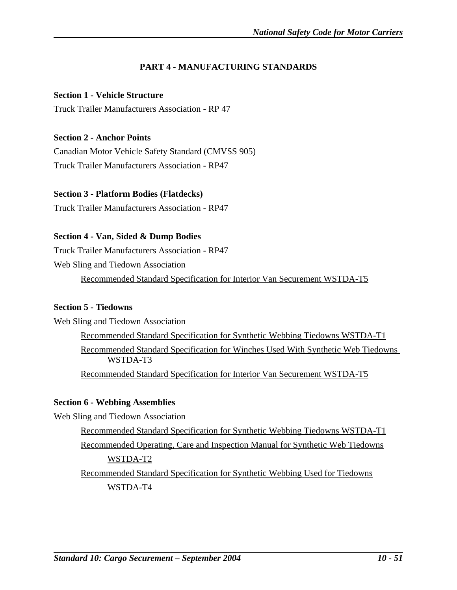# **PART 4 - MANUFACTURING STANDARDS**

## **Section 1 - Vehicle Structure**

Truck Trailer Manufacturers Association - RP 47

## **Section 2 - Anchor Points**

Canadian Motor Vehicle Safety Standard (CMVSS 905) Truck Trailer Manufacturers Association - RP47

## **Section 3 - Platform Bodies (Flatdecks)**

Truck Trailer Manufacturers Association - RP47

## **Section 4 - Van, Sided & Dump Bodies**

Truck Trailer Manufacturers Association - RP47 Web Sling and Tiedown Association

Recommended Standard Specification for Interior Van Securement WSTDA-T5

# **Section 5 - Tiedowns**

Web Sling and Tiedown Association Recommended Standard Specification for Synthetic Webbing Tiedowns WSTDA-T1 Recommended Standard Specification for Winches Used With Synthetic Web Tiedowns WSTDA-T3 Recommended Standard Specification for Interior Van Securement WSTDA-T5

# **Section 6 - Webbing Assemblies**

Web Sling and Tiedown Association Recommended Standard Specification for Synthetic Webbing Tiedowns WSTDA-T1 Recommended Operating, Care and Inspection Manual for Synthetic Web Tiedowns WSTDA-T2 Recommended Standard Specification for Synthetic Webbing Used for Tiedowns WSTDA-T4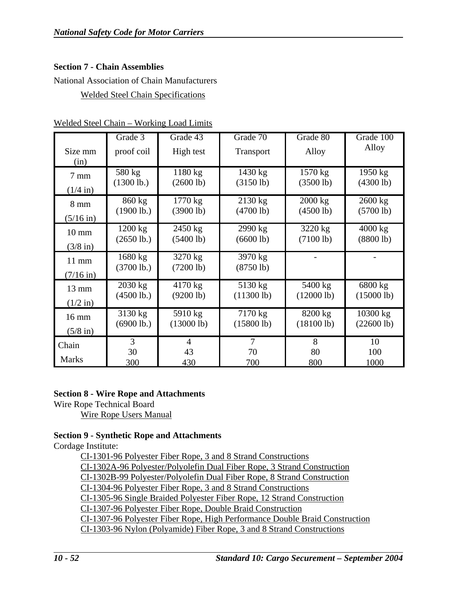# **Section 7 - Chain Assemblies**

National Association of Chain Manufacturers Welded Steel Chain Specifications

| Size mm                                | Grade 3                                   | Grade 43                    | Grade 70               | Grade 80       | Grade 100         |
|----------------------------------------|-------------------------------------------|-----------------------------|------------------------|----------------|-------------------|
| (in)                                   | proof coil                                | High test                   | Transport              | Alloy          | Alloy             |
| $7 \text{ mm}$                         | 580 kg                                    | 1180 kg                     | 1430 kg                | $1570$ kg      | 1950 kg           |
| $(1/4$ in)                             | (1300 lb.)                                | (2600 lb)                   | (3150 lb)              | (3500 lb)      | (4300 lb)         |
| $8 \text{ mm}$                         | 860 kg                                    | $1770 \text{ kg}$           | $2130 \text{ kg}$      | 2000 kg        | $2600$ kg         |
| $(5/16 \text{ in})$                    | (1900 lb.)                                | (3900 lb)                   | (4700 lb)              | (4500 lb)      | (5700 lb)         |
| $10 \text{ mm}$                        | 1200 kg                                   | $2450 \text{ kg}$           | $2990$ kg              | $3220$ kg      | $4000 \text{ kg}$ |
| $(3/8 \text{ in})$                     | $(2650 \, lb.)$                           | (5400 lb)                   | (6600 lb)              | (7100 lb)      | (8800 lb)         |
| $11 \text{ mm}$<br>$(7/16 \text{ in})$ | $1680 \text{ kg}$<br>$(3700 \text{ lb.})$ | 3270 kg<br>(7200 lb)        | 3970 kg<br>$(8750$ lb) |                |                   |
| 13 mm                                  | $2030$ kg                                 | $4170 \text{ kg}$           | 5130 kg                | 5400 kg        | 6800 kg           |
| $(1/2$ in)                             | $(4500 \text{ lb.})$                      | (9200 lb)                   | (11300 lb)             | (12000 lb)     | (15000 lb)        |
| $16 \text{ mm}$                        | $3130$ kg                                 | 5910 kg                     | 7170 kg                | 8200 kg        | 10300 kg          |
| $(5/8 \text{ in})$                     | $(6900$ lb.)                              | (13000 lb)                  | (15800 lb)             | (18100 lb)     | (22600 lb)        |
| Chain<br><b>Marks</b>                  | 3<br>30<br>300                            | $\overline{4}$<br>43<br>430 | 7<br>70<br>700         | 8<br>80<br>800 | 10<br>100<br>1000 |

| Welded Steel Chain – Working Load Limits |  |  |
|------------------------------------------|--|--|
|                                          |  |  |

## **Section 8 - Wire Rope and Attachments**

Wire Rope Technical Board Wire Rope Users Manual

# **Section 9 - Synthetic Rope and Attachments**

Cordage Institute:

CI-1301-96 Polyester Fiber Rope, 3 and 8 Strand Constructions CI-1302A-96 Polyester/Polyolefin Dual Fiber Rope, 3 Strand Construction CI-1302B-99 Polyester/Polyolefin Dual Fiber Rope, 8 Strand Construction CI-1304-96 Polyester Fiber Rope, 3 and 8 Strand Constructions CI-1305-96 Single Braided Polyester Fiber Rope, 12 Strand Construction CI-1307-96 Polyester Fiber Rope, Double Braid Construction CI-1307-96 Polyester Fiber Rope, High Performance Double Braid Construction CI-1303-96 Nylon (Polyamide) Fiber Rope, 3 and 8 Strand Constructions